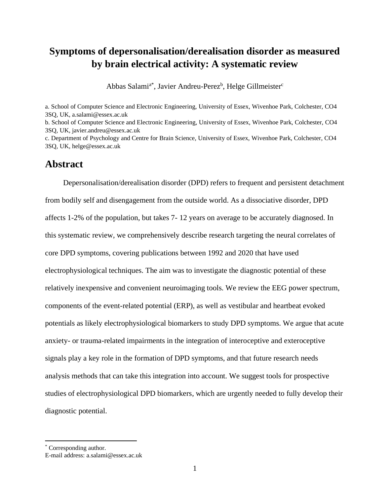# **Symptoms of depersonalisation/derealisation disorder as measured by brain electrical activity: A systematic review**

Abbas Salami<sup>a\*</sup>, Javier Andreu-Perez<sup>b</sup>, Helge Gillmeister<sup>c</sup>

a. School of Computer Science and Electronic Engineering, University of Essex, Wivenhoe Park, Colchester, CO4 3SQ, UK, a.salami@essex.ac.uk b. School of Computer Science and Electronic Engineering, University of Essex, Wivenhoe Park, Colchester, CO4 3SQ, UK, javier.andreu@essex.ac.uk c. Department of Psychology and Centre for Brain Science, University of Essex, Wivenhoe Park, Colchester, CO4 3SQ, UK, helge@essex.ac.uk

### **Abstract**

Depersonalisation/derealisation disorder (DPD) refers to frequent and persistent detachment from bodily self and disengagement from the outside world. As a dissociative disorder, DPD affects 1-2% of the population, but takes 7- 12 years on average to be accurately diagnosed. In this systematic review, we comprehensively describe research targeting the neural correlates of core DPD symptoms, covering publications between 1992 and 2020 that have used electrophysiological techniques. The aim was to investigate the diagnostic potential of these relatively inexpensive and convenient neuroimaging tools. We review the EEG power spectrum, components of the event-related potential (ERP), as well as vestibular and heartbeat evoked potentials as likely electrophysiological biomarkers to study DPD symptoms. We argue that acute anxiety- or trauma-related impairments in the integration of interoceptive and exteroceptive signals play a key role in the formation of DPD symptoms, and that future research needs analysis methods that can take this integration into account. We suggest tools for prospective studies of electrophysiological DPD biomarkers, which are urgently needed to fully develop their diagnostic potential.

<sup>\*</sup> Corresponding author.

E-mail address: a.salami@essex.ac.uk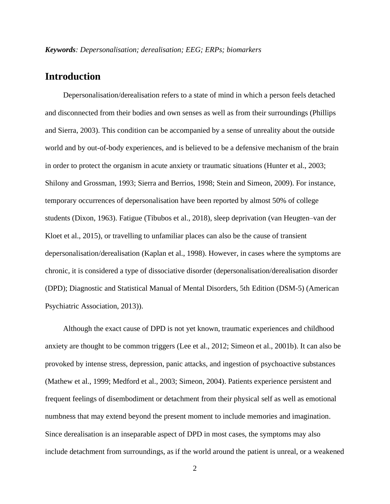## **Introduction**

Depersonalisation/derealisation refers to a state of mind in which a person feels detached and disconnected from their bodies and own senses as well as from their surroundings [\(Phillips](#page-39-0)  [and Sierra, 2003\)](#page-39-0). This condition can be accompanied by a sense of unreality about the outside world and by out-of-body experiences, and is believed to be a defensive mechanism of the brain in order to protect the organism in acute anxiety or traumatic situations [\(Hunter et al., 2003;](#page-36-0) [Shilony and Grossman, 1993;](#page-41-0) [Sierra and Berrios, 1998;](#page-41-1) [Stein and Simeon, 2009\)](#page-41-2). For instance, temporary occurrences of depersonalisation have been reported by almost 50% of college students [\(Dixon, 1963\)](#page-35-0). Fatigue [\(Tibubos et al., 2018\)](#page-42-0), sleep deprivation [\(van Heugten–van der](#page-42-1)  [Kloet et al., 2015\)](#page-42-1), or travelling to unfamiliar places can also be the cause of transient depersonalisation/derealisation [\(Kaplan et al., 1998\)](#page-37-0). However, in cases where the symptoms are chronic, it is considered a type of dissociative disorder (depersonalisation/derealisation disorder (DPD); Diagnostic and Statistical Manual of Mental Disorders, 5th Edition (DSM-5) [\(American](#page-34-0)  [Psychiatric Association, 2013\)](#page-34-0)).

Although the exact cause of DPD is not yet known, traumatic experiences and childhood anxiety are thought to be common triggers [\(Lee et al., 2012;](#page-37-1) [Simeon et al., 2001b\)](#page-41-3). It can also be provoked by intense stress, depression, panic attacks, and ingestion of psychoactive substances [\(Mathew et al., 1999;](#page-38-0) [Medford et al., 2003;](#page-38-1) [Simeon, 2004\)](#page-41-4). Patients experience persistent and frequent feelings of disembodiment or detachment from their physical self as well as emotional numbness that may extend beyond the present moment to include memories and imagination. Since derealisation is an inseparable aspect of DPD in most cases, the symptoms may also include detachment from surroundings, as if the world around the patient is unreal, or a weakened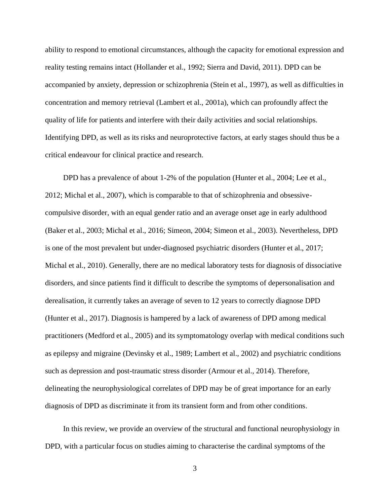ability to respond to emotional circumstances, although the capacity for emotional expression and reality testing remains intact [\(Hollander et al., 1992;](#page-36-1) [Sierra and David, 2011\)](#page-41-5). DPD can be accompanied by anxiety, depression or schizophrenia [\(Stein et al., 1997\)](#page-41-6), as well as difficulties in concentration and memory retrieval [\(Lambert et al., 2001a\)](#page-37-2), which can profoundly affect the quality of life for patients and interfere with their daily activities and social relationships. Identifying DPD, as well as its risks and neuroprotective factors, at early stages should thus be a critical endeavour for clinical practice and research.

DPD has a prevalence of about 1-2% of the population [\(Hunter et al., 2004;](#page-36-2) [Lee et al.,](#page-37-1)  [2012;](#page-37-1) [Michal et al., 2007\)](#page-38-2), which is comparable to that of schizophrenia and obsessivecompulsive disorder, with an equal gender ratio and an average onset age in early adulthood [\(Baker et al., 2003;](#page-34-1) [Michal et al., 2016;](#page-38-3) [Simeon, 2004;](#page-41-4) [Simeon et al., 2003\)](#page-41-7). Nevertheless, DPD is one of the most prevalent but under-diagnosed psychiatric disorders [\(Hunter et al., 2017;](#page-36-3) [Michal et al., 2010\)](#page-38-4). Generally, there are no medical laboratory tests for diagnosis of dissociative disorders, and since patients find it difficult to describe the symptoms of depersonalisation and derealisation, it currently takes an average of seven to 12 years to correctly diagnose DPD [\(Hunter et al., 2017\)](#page-36-3). Diagnosis is hampered by a lack of awareness of DPD among medical practitioners [\(Medford et al., 2005\)](#page-38-5) and its symptomatology overlap with medical conditions such as epilepsy and migraine [\(Devinsky et al., 1989;](#page-34-2) [Lambert et al., 2002\)](#page-37-3) and psychiatric conditions such as depression and post-traumatic stress disorder [\(Armour et al., 2014\)](#page-34-3). Therefore, delineating the neurophysiological correlates of DPD may be of great importance for an early diagnosis of DPD as discriminate it from its transient form and from other conditions.

In this review, we provide an overview of the structural and functional neurophysiology in DPD, with a particular focus on studies aiming to characterise the cardinal symptoms of the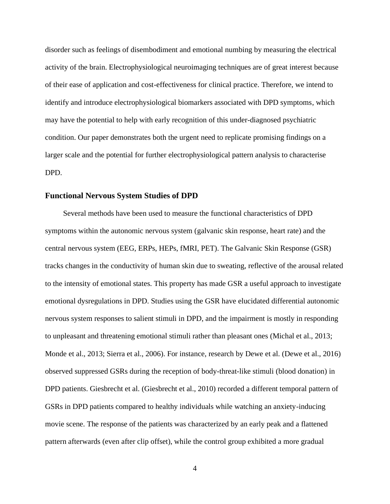disorder such as feelings of disembodiment and emotional numbing by measuring the electrical activity of the brain. Electrophysiological neuroimaging techniques are of great interest because of their ease of application and cost-effectiveness for clinical practice. Therefore, we intend to identify and introduce electrophysiological biomarkers associated with DPD symptoms, which may have the potential to help with early recognition of this under-diagnosed psychiatric condition. Our paper demonstrates both the urgent need to replicate promising findings on a larger scale and the potential for further electrophysiological pattern analysis to characterise DPD.

### **Functional Nervous System Studies of DPD**

Several methods have been used to measure the functional characteristics of DPD symptoms within the autonomic nervous system (galvanic skin response, heart rate) and the central nervous system (EEG, ERPs, HEPs, fMRI, PET). The Galvanic Skin Response (GSR) tracks changes in the conductivity of human skin due to sweating, reflective of the arousal related to the intensity of emotional states. This property has made GSR a useful approach to investigate emotional dysregulations in DPD. Studies using the GSR have elucidated differential autonomic nervous system responses to salient stimuli in DPD, and the impairment is mostly in responding to unpleasant and threatening emotional stimuli rather than pleasant ones [\(Michal et al., 2013;](#page-38-6) [Monde et al., 2013;](#page-39-1) [Sierra et al., 2006\)](#page-41-8). For instance, research by Dewe et al. [\(Dewe et al., 2016\)](#page-35-1) observed suppressed GSRs during the reception of body-threat-like stimuli (blood donation) in DPD patients. Giesbrecht et al. [\(Giesbrecht et al., 2010\)](#page-35-2) recorded a different temporal pattern of GSRs in DPD patients compared to healthy individuals while watching an anxiety-inducing movie scene. The response of the patients was characterized by an early peak and a flattened pattern afterwards (even after clip offset), while the control group exhibited a more gradual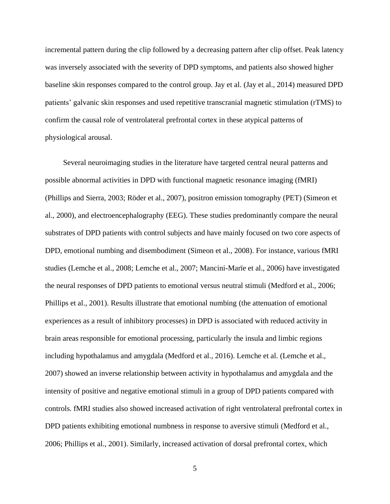incremental pattern during the clip followed by a decreasing pattern after clip offset. Peak latency was inversely associated with the severity of DPD symptoms, and patients also showed higher baseline skin responses compared to the control group. Jay et al. [\(Jay et al., 2014\)](#page-36-4) measured DPD patients' galvanic skin responses and used repetitive transcranial magnetic stimulation (rTMS) to confirm the causal role of ventrolateral prefrontal cortex in these atypical patterns of physiological arousal.

Several neuroimaging studies in the literature have targeted central neural patterns and possible abnormal activities in DPD with functional magnetic resonance imaging (fMRI) [\(Phillips and Sierra, 2003;](#page-39-0) [Röder et al., 2007\)](#page-40-0), positron emission tomography (PET) [\(Simeon et](#page-41-9)  [al., 2000\)](#page-41-9), and electroencephalography (EEG). These studies predominantly compare the neural substrates of DPD patients with control subjects and have mainly focused on two core aspects of DPD, emotional numbing and disembodiment [\(Simeon et al., 2008\)](#page-41-10). For instance, various fMRI studies [\(Lemche et al., 2008;](#page-37-4) [Lemche et al., 2007;](#page-37-5) [Mancini-Marïe et al., 2006\)](#page-38-7) have investigated the neural responses of DPD patients to emotional versus neutral stimuli [\(Medford et al., 2006;](#page-38-8) [Phillips et al., 2001\)](#page-39-2). Results illustrate that emotional numbing (the attenuation of emotional experiences as a result of inhibitory processes) in DPD is associated with reduced activity in brain areas responsible for emotional processing, particularly the insula and limbic regions including hypothalamus and amygdala [\(Medford et al., 2016\)](#page-38-9). Lemche et al. [\(Lemche et al.,](#page-37-5)  [2007\)](#page-37-5) showed an inverse relationship between activity in hypothalamus and amygdala and the intensity of positive and negative emotional stimuli in a group of DPD patients compared with controls. fMRI studies also showed increased activation of right ventrolateral prefrontal cortex in DPD patients exhibiting emotional numbness in response to aversive stimuli [\(Medford et al.,](#page-38-8)  [2006;](#page-38-8) [Phillips et al., 2001\)](#page-39-2). Similarly, increased activation of dorsal prefrontal cortex, which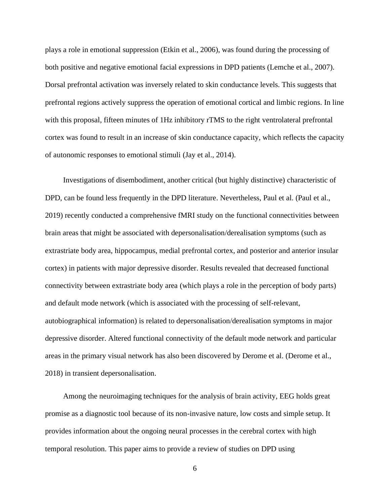plays a role in emotional suppression [\(Etkin et al., 2006\)](#page-35-3), was found during the processing of both positive and negative emotional facial expressions in DPD patients [\(Lemche et al., 2007\)](#page-37-5). Dorsal prefrontal activation was inversely related to skin conductance levels. This suggests that prefrontal regions actively suppress the operation of emotional cortical and limbic regions. In line with this proposal, fifteen minutes of 1Hz inhibitory rTMS to the right ventrolateral prefrontal cortex was found to result in an increase of skin conductance capacity, which reflects the capacity of autonomic responses to emotional stimuli [\(Jay et al., 2014\)](#page-36-4).

Investigations of disembodiment, another critical (but highly distinctive) characteristic of DPD, can be found less frequently in the DPD literature. Nevertheless, Paul et al. [\(Paul et al.,](#page-39-3)  [2019\)](#page-39-3) recently conducted a comprehensive fMRI study on the functional connectivities between brain areas that might be associated with depersonalisation/derealisation symptoms (such as extrastriate body area, hippocampus, medial prefrontal cortex, and posterior and anterior insular cortex) in patients with major depressive disorder. Results revealed that decreased functional connectivity between extrastriate body area (which plays a role in the perception of body parts) and default mode network (which is associated with the processing of self-relevant, autobiographical information) is related to depersonalisation/derealisation symptoms in major depressive disorder. Altered functional connectivity of the default mode network and particular areas in the primary visual network has also been discovered by Derome et al. [\(Derome et al.,](#page-34-4)  [2018\)](#page-34-4) in transient depersonalisation.

Among the neuroimaging techniques for the analysis of brain activity, EEG holds great promise as a diagnostic tool because of its non-invasive nature, low costs and simple setup. It provides information about the ongoing neural processes in the cerebral cortex with high temporal resolution. This paper aims to provide a review of studies on DPD using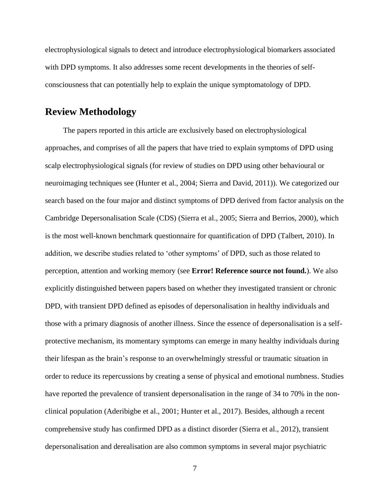electrophysiological signals to detect and introduce electrophysiological biomarkers associated with DPD symptoms. It also addresses some recent developments in the theories of selfconsciousness that can potentially help to explain the unique symptomatology of DPD.

## **Review Methodology**

The papers reported in this article are exclusively based on electrophysiological approaches, and comprises of all the papers that have tried to explain symptoms of DPD using scalp electrophysiological signals (for review of studies on DPD using other behavioural or neuroimaging techniques see [\(Hunter et al., 2004;](#page-36-2) [Sierra and David, 2011\)](#page-41-5)). We categorized our search based on the four major and distinct symptoms of DPD derived from factor analysis on the Cambridge Depersonalisation Scale (CDS) [\(Sierra et al., 2005;](#page-41-11) [Sierra and Berrios, 2000\)](#page-41-12), which is the most well-known benchmark questionnaire for quantification of DPD [\(Talbert, 2010\)](#page-42-2). In addition, we describe studies related to 'other symptoms' of DPD, such as those related to perception, attention and working memory (see **Error! Reference source not found.**). We also explicitly distinguished between papers based on whether they investigated transient or chronic DPD, with transient DPD defined as episodes of depersonalisation in healthy individuals and those with a primary diagnosis of another illness. Since the essence of depersonalisation is a selfprotective mechanism, its momentary symptoms can emerge in many healthy individuals during their lifespan as the brain's response to an overwhelmingly stressful or traumatic situation in order to reduce its repercussions by creating a sense of physical and emotional numbness. Studies have reported the prevalence of transient depersonalisation in the range of 34 to 70% in the nonclinical population [\(Aderibigbe et al., 2001;](#page-34-5) [Hunter et al., 2017\)](#page-36-3). Besides, although a recent comprehensive study has confirmed DPD as a distinct disorder [\(Sierra et al., 2012\)](#page-41-13), transient depersonalisation and derealisation are also common symptoms in several major psychiatric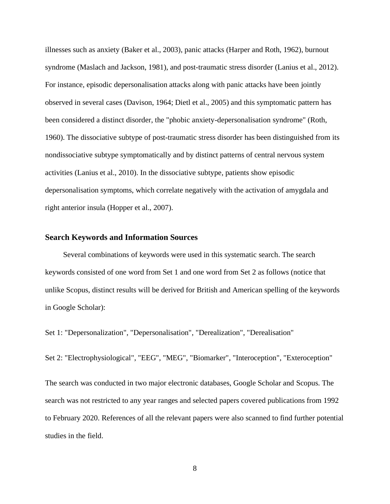illnesses such as anxiety [\(Baker et al., 2003\)](#page-34-1), panic attacks [\(Harper and Roth, 1962\)](#page-36-5), burnout syndrome [\(Maslach and Jackson, 1981\)](#page-38-10), and post-traumatic stress disorder [\(Lanius et al., 2012\)](#page-37-6). For instance, episodic depersonalisation attacks along with panic attacks have been jointly observed in several cases [\(Davison, 1964;](#page-34-6) [Dietl et al., 2005\)](#page-35-4) and this symptomatic pattern has been considered a distinct disorder, the "phobic anxiety-depersonalisation syndrome" [\(Roth,](#page-40-1)  [1960\)](#page-40-1). The dissociative subtype of post-traumatic stress disorder has been distinguished from its nondissociative subtype symptomatically and by distinct patterns of central nervous system activities [\(Lanius et al., 2010\)](#page-37-7). In the dissociative subtype, patients show episodic depersonalisation symptoms, which correlate negatively with the activation of amygdala and right anterior insula [\(Hopper et al., 2007\)](#page-36-6).

### **Search Keywords and Information Sources**

Several combinations of keywords were used in this systematic search. The search keywords consisted of one word from Set 1 and one word from Set 2 as follows (notice that unlike Scopus, distinct results will be derived for British and American spelling of the keywords in Google Scholar):

Set 1: "Depersonalization", "Depersonalisation", "Derealization", "Derealisation"

Set 2: "Electrophysiological", "EEG", "MEG", "Biomarker", "Interoception", "Exteroception"

The search was conducted in two major electronic databases, Google Scholar and Scopus. The search was not restricted to any year ranges and selected papers covered publications from 1992 to February 2020. References of all the relevant papers were also scanned to find further potential studies in the field.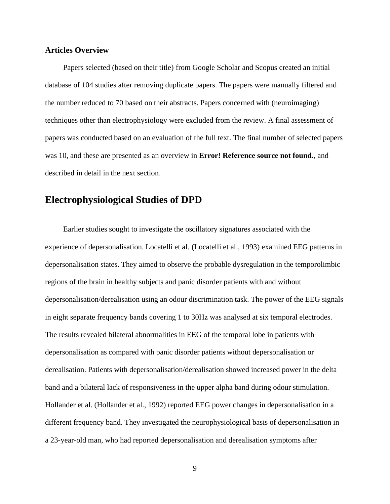### **Articles Overview**

Papers selected (based on their title) from Google Scholar and Scopus created an initial database of 104 studies after removing duplicate papers. The papers were manually filtered and the number reduced to 70 based on their abstracts. Papers concerned with (neuroimaging) techniques other than electrophysiology were excluded from the review. A final assessment of papers was conducted based on an evaluation of the full text. The final number of selected papers was 10, and these are presented as an overview in **Error! Reference source not found.**, and described in detail in the next section.

## **Electrophysiological Studies of DPD**

Earlier studies sought to investigate the oscillatory signatures associated with the experience of depersonalisation. Locatelli et al. [\(Locatelli et al., 1993\)](#page-37-8) examined EEG patterns in depersonalisation states. They aimed to observe the probable dysregulation in the temporolimbic regions of the brain in healthy subjects and panic disorder patients with and without depersonalisation/derealisation using an odour discrimination task. The power of the EEG signals in eight separate frequency bands covering 1 to 30Hz was analysed at six temporal electrodes. The results revealed bilateral abnormalities in EEG of the temporal lobe in patients with depersonalisation as compared with panic disorder patients without depersonalisation or derealisation. Patients with depersonalisation/derealisation showed increased power in the delta band and a bilateral lack of responsiveness in the upper alpha band during odour stimulation. Hollander et al. [\(Hollander et al., 1992\)](#page-36-1) reported EEG power changes in depersonalisation in a different frequency band. They investigated the neurophysiological basis of depersonalisation in a 23-year-old man, who had reported depersonalisation and derealisation symptoms after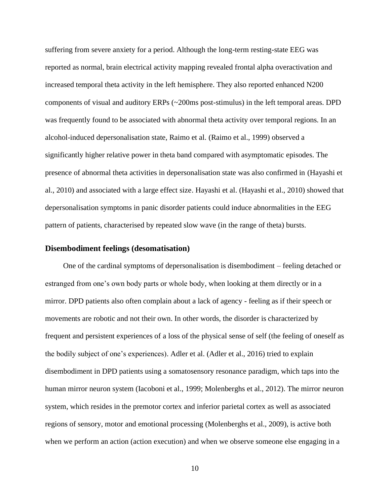suffering from severe anxiety for a period. Although the long-term resting-state EEG was reported as normal, brain electrical activity mapping revealed frontal alpha overactivation and increased temporal theta activity in the left hemisphere. They also reported enhanced N200 components of visual and auditory ERPs (~200ms post-stimulus) in the left temporal areas. DPD was frequently found to be associated with abnormal theta activity over temporal regions. In an alcohol-induced depersonalisation state, Raimo et al. [\(Raimo et al., 1999\)](#page-40-2) observed a significantly higher relative power in theta band compared with asymptomatic episodes. The presence of abnormal theta activities in depersonalisation state was also confirmed in [\(Hayashi et](#page-36-7)  [al., 2010\)](#page-36-7) and associated with a large effect size. Hayashi et al. [\(Hayashi et al., 2010\)](#page-36-7) showed that depersonalisation symptoms in panic disorder patients could induce abnormalities in the EEG pattern of patients, characterised by repeated slow wave (in the range of theta) bursts.

### **Disembodiment feelings (desomatisation)**

One of the cardinal symptoms of depersonalisation is disembodiment – feeling detached or estranged from one's own body parts or whole body, when looking at them directly or in a mirror. DPD patients also often complain about a lack of agency - feeling as if their speech or movements are robotic and not their own. In other words, the disorder is characterized by frequent and persistent experiences of a loss of the physical sense of self (the feeling of oneself as the bodily subject of one's experiences). Adler et al. [\(Adler et al., 2016\)](#page-34-7) tried to explain disembodiment in DPD patients using a somatosensory resonance paradigm, which taps into the human mirror neuron system [\(Iacoboni et al., 1999;](#page-36-8) [Molenberghs et al., 2012\)](#page-38-11). The mirror neuron system, which resides in the premotor cortex and inferior parietal cortex as well as associated regions of sensory, motor and emotional processing [\(Molenberghs et al., 2009\)](#page-38-12), is active both when we perform an action (action execution) and when we observe someone else engaging in a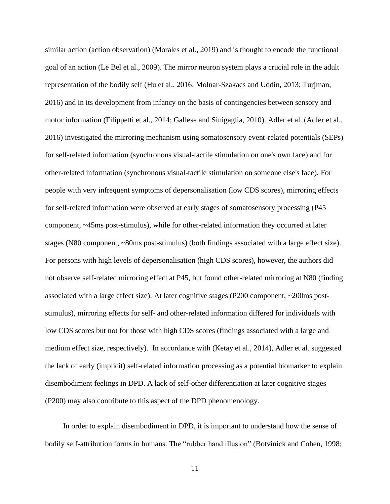similar action (action observation) [\(Morales et al., 2019\)](#page-39-4) and is thought to encode the functional goal of an action [\(Le Bel et al., 2009\)](#page-37-9). The mirror neuron system plays a crucial role in the adult representation of the bodily self [\(Hu et al., 2016;](#page-36-9) [Molnar-Szakacs and Uddin, 2013;](#page-38-13) [Turjman,](#page-42-3)  [2016\)](#page-42-3) and in its development from infancy on the basis of contingencies between sensory and motor information [\(Filippetti et al., 2014;](#page-35-5) [Gallese and Sinigaglia, 2010\)](#page-35-6). Adler et al. [\(Adler et al.,](#page-34-7)  [2016\)](#page-34-7) investigated the mirroring mechanism using somatosensory event-related potentials (SEPs) for self-related information (synchronous visual-tactile stimulation on one's own face) and for other-related information (synchronous visual-tactile stimulation on someone else's face). For people with very infrequent symptoms of depersonalisation (low CDS scores), mirroring effects for self-related information were observed at early stages of somatosensory processing (P45 component, ~45ms post-stimulus), while for other-related information they occurred at later stages (N80 component, ~80ms post-stimulus) (both findings associated with a large effect size). For persons with high levels of depersonalisation (high CDS scores), however, the authors did not observe self-related mirroring effect at P45, but found other-related mirroring at N80 (finding associated with a large effect size). At later cognitive stages (P200 component, ~200ms poststimulus), mirroring effects for self- and other-related information differed for individuals with low CDS scores but not for those with high CDS scores (findings associated with a large and medium effect size, respectively). In accordance with [\(Ketay et al., 2014\)](#page-37-10), Adler et al. suggested the lack of early (implicit) self-related information processing as a potential biomarker to explain disembodiment feelings in DPD. A lack of self-other differentiation at later cognitive stages (P200) may also contribute to this aspect of the DPD phenomenology.

In order to explain disembodiment in DPD, it is important to understand how the sense of bodily self-attribution forms in humans. The "rubber hand illusion" [\(Botvinick and Cohen, 1998;](#page-34-8)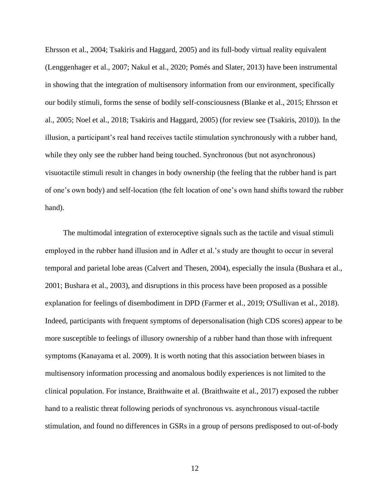[Ehrsson et al., 2004;](#page-35-7) [Tsakiris and Haggard, 2005\)](#page-42-4) and its full-body virtual reality equivalent [\(Lenggenhager et al., 2007;](#page-37-11) [Nakul et al., 2020;](#page-39-5) [Pomés and Slater, 2013\)](#page-40-3) have been instrumental in showing that the integration of multisensory information from our environment, specifically our bodily stimuli, forms the sense of bodily self-consciousness [\(Blanke et al., 2015;](#page-34-9) [Ehrsson et](#page-35-8)  [al., 2005;](#page-35-8) [Noel et al., 2018;](#page-39-6) [Tsakiris and Haggard, 2005\)](#page-42-4) (for review see [\(Tsakiris, 2010\)](#page-42-5)). In the illusion, a participant's real hand receives tactile stimulation synchronously with a rubber hand, while they only see the rubber hand being touched. Synchronous (but not asynchronous) visuotactile stimuli result in changes in body ownership (the feeling that the rubber hand is part of one's own body) and self-location (the felt location of one's own hand shifts toward the rubber hand).

The multimodal integration of exteroceptive signals such as the tactile and visual stimuli employed in the rubber hand illusion and in Adler et al.'s study are thought to occur in several temporal and parietal lobe areas [\(Calvert and Thesen, 2004\)](#page-34-10), especially the insula [\(Bushara et al.,](#page-34-11)  [2001;](#page-34-11) [Bushara et al., 2003\)](#page-34-12), and disruptions in this process have been proposed as a possible explanation for feelings of disembodiment in DPD [\(Farmer et al., 2019;](#page-35-9) [O'Sullivan et al., 2018\)](#page-39-7). Indeed, participants with frequent symptoms of depersonalisation (high CDS scores) appear to be more susceptible to feelings of illusory ownership of a rubber hand than those with infrequent symptoms (Kanayama et al. 2009). It is worth noting that this association between biases in multisensory information processing and anomalous bodily experiences is not limited to the clinical population. For instance, Braithwaite et al. [\(Braithwaite et al., 2017\)](#page-34-13) exposed the rubber hand to a realistic threat following periods of synchronous vs. asynchronous visual-tactile stimulation, and found no differences in GSRs in a group of persons predisposed to out-of-body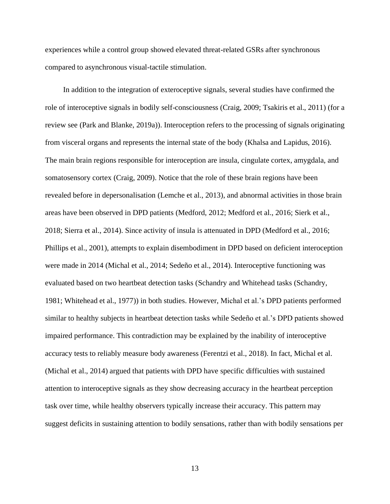experiences while a control group showed elevated threat-related GSRs after synchronous compared to asynchronous visual-tactile stimulation.

In addition to the integration of exteroceptive signals, several studies have confirmed the role of interoceptive signals in bodily self-consciousness [\(Craig, 2009;](#page-34-14) [Tsakiris et al., 2011\)](#page-42-6) (for a review see [\(Park and Blanke, 2019a\)](#page-39-8)). Interoception refers to the processing of signals originating from visceral organs and represents the internal state of the body [\(Khalsa and Lapidus, 2016\)](#page-37-12). The main brain regions responsible for interoception are insula, cingulate cortex, amygdala, and somatosensory cortex [\(Craig, 2009\)](#page-34-14). Notice that the role of these brain regions have been revealed before in depersonalisation [\(Lemche et al., 2013\)](#page-37-13), and abnormal activities in those brain areas have been observed in DPD patients [\(Medford, 2012;](#page-38-14) [Medford et al., 2016;](#page-38-9) [Sierk et al.,](#page-41-14)  [2018;](#page-41-14) [Sierra et al., 2014\)](#page-41-15). Since activity of insula is attenuated in DPD [\(Medford et al., 2016;](#page-38-9) [Phillips et al., 2001\)](#page-39-2), attempts to explain disembodiment in DPD based on deficient interoception were made in 2014 [\(Michal et al., 2014;](#page-38-15) [Sedeño et al., 2014\)](#page-40-4). Interoceptive functioning was evaluated based on two heartbeat detection tasks (Schandry and Whitehead tasks [\(Schandry,](#page-40-5)  [1981;](#page-40-5) [Whitehead et al., 1977\)](#page-42-7)) in both studies. However, Michal et al.'s DPD patients performed similar to healthy subjects in heartbeat detection tasks while Sedeño et al.'s DPD patients showed impaired performance. This contradiction may be explained by the inability of interoceptive accuracy tests to reliably measure body awareness [\(Ferentzi et al., 2018\)](#page-35-10). In fact, Michal et al. [\(Michal et al., 2014\)](#page-38-15) argued that patients with DPD have specific difficulties with sustained attention to interoceptive signals as they show decreasing accuracy in the heartbeat perception task over time, while healthy observers typically increase their accuracy. This pattern may suggest deficits in sustaining attention to bodily sensations, rather than with bodily sensations per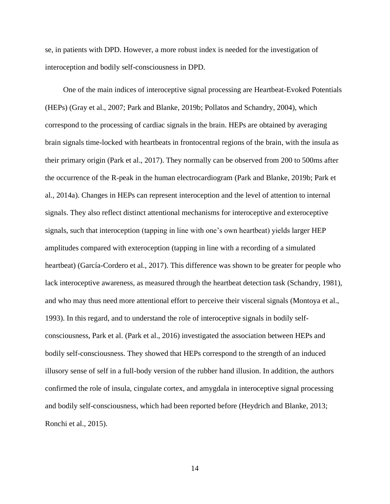se, in patients with DPD. However, a more robust index is needed for the investigation of interoception and bodily self-consciousness in DPD.

One of the main indices of interoceptive signal processing are Heartbeat-Evoked Potentials (HEPs) [\(Gray et al., 2007;](#page-36-10) [Park and Blanke, 2019b;](#page-39-9) [Pollatos and Schandry, 2004\)](#page-40-6), which correspond to the processing of cardiac signals in the brain. HEPs are obtained by averaging brain signals time-locked with heartbeats in frontocentral regions of the brain, with the insula as their primary origin [\(Park et al., 2017\)](#page-39-10). They normally can be observed from 200 to 500ms after the occurrence of the R-peak in the human electrocardiogram [\(Park and Blanke, 2019b;](#page-39-9) [Park et](#page-39-11)  [al., 2014a\)](#page-39-11). Changes in HEPs can represent interoception and the level of attention to internal signals. They also reflect distinct attentional mechanisms for interoceptive and exteroceptive signals, such that interoception (tapping in line with one's own heartbeat) yields larger HEP amplitudes compared with exteroception (tapping in line with a recording of a simulated heartbeat) [\(García-Cordero et al., 2017\)](#page-35-11). This difference was shown to be greater for people who lack interoceptive awareness, as measured through the heartbeat detection task [\(Schandry, 1981\)](#page-40-5), and who may thus need more attentional effort to perceive their visceral signals [\(Montoya et al.,](#page-39-12)  [1993\)](#page-39-12). In this regard, and to understand the role of interoceptive signals in bodily selfconsciousness, Park et al. [\(Park et al., 2016\)](#page-39-13) investigated the association between HEPs and bodily self-consciousness. They showed that HEPs correspond to the strength of an induced illusory sense of self in a full-body version of the rubber hand illusion. In addition, the authors confirmed the role of insula, cingulate cortex, and amygdala in interoceptive signal processing and bodily self-consciousness, which had been reported before [\(Heydrich and Blanke, 2013;](#page-36-11) [Ronchi et al., 2015\)](#page-40-7).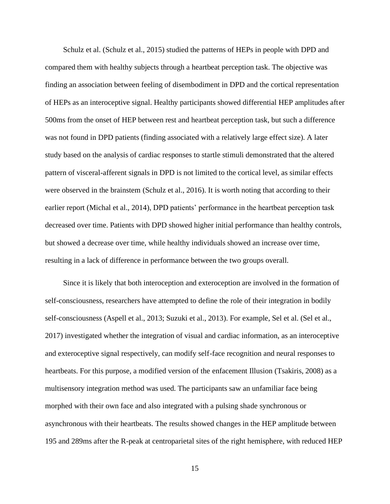Schulz et al. [\(Schulz et al., 2015\)](#page-40-8) studied the patterns of HEPs in people with DPD and compared them with healthy subjects through a heartbeat perception task. The objective was finding an association between feeling of disembodiment in DPD and the cortical representation of HEPs as an interoceptive signal. Healthy participants showed differential HEP amplitudes after 500ms from the onset of HEP between rest and heartbeat perception task, but such a difference was not found in DPD patients (finding associated with a relatively large effect size). A later study based on the analysis of cardiac responses to startle stimuli demonstrated that the altered pattern of visceral-afferent signals in DPD is not limited to the cortical level, as similar effects were observed in the brainstem [\(Schulz et al., 2016\)](#page-40-9). It is worth noting that according to their earlier report [\(Michal et al., 2014\)](#page-38-15), DPD patients' performance in the heartbeat perception task decreased over time. Patients with DPD showed higher initial performance than healthy controls, but showed a decrease over time, while healthy individuals showed an increase over time, resulting in a lack of difference in performance between the two groups overall.

Since it is likely that both interoception and exteroception are involved in the formation of self-consciousness, researchers have attempted to define the role of their integration in bodily self-consciousness [\(Aspell et al., 2013;](#page-34-15) [Suzuki et al., 2013\)](#page-42-8). For example, Sel et al. [\(Sel et al.,](#page-41-16)  [2017\)](#page-41-16) investigated whether the integration of visual and cardiac information, as an interoceptive and exteroceptive signal respectively, can modify self-face recognition and neural responses to heartbeats. For this purpose, a modified version of the enfacement Illusion [\(Tsakiris, 2008\)](#page-42-9) as a multisensory integration method was used. The participants saw an unfamiliar face being morphed with their own face and also integrated with a pulsing shade synchronous or asynchronous with their heartbeats. The results showed changes in the HEP amplitude between 195 and 289ms after the R-peak at centroparietal sites of the right hemisphere, with reduced HEP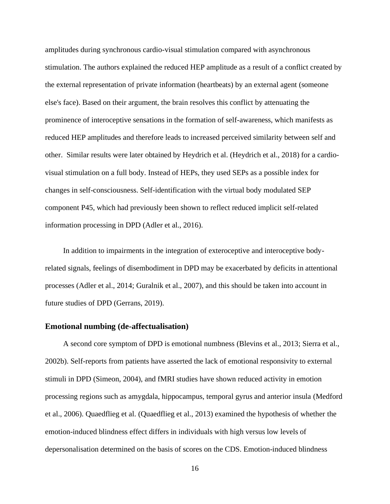amplitudes during synchronous cardio-visual stimulation compared with asynchronous stimulation. The authors explained the reduced HEP amplitude as a result of a conflict created by the external representation of private information (heartbeats) by an external agent (someone else's face). Based on their argument, the brain resolves this conflict by attenuating the prominence of interoceptive sensations in the formation of self-awareness, which manifests as reduced HEP amplitudes and therefore leads to increased perceived similarity between self and other. Similar results were later obtained by Heydrich et al. [\(Heydrich et al., 2018\)](#page-36-12) for a cardiovisual stimulation on a full body. Instead of HEPs, they used SEPs as a possible index for changes in self-consciousness. Self-identification with the virtual body modulated SEP component P45, which had previously been shown to reflect reduced implicit self-related information processing in DPD [\(Adler et al., 2016\)](#page-34-7).

In addition to impairments in the integration of exteroceptive and interoceptive bodyrelated signals, feelings of disembodiment in DPD may be exacerbated by deficits in attentional processes [\(Adler et al., 2014;](#page-34-16) [Guralnik et al., 2007\)](#page-36-13), and this should be taken into account in future studies of DPD [\(Gerrans, 2019\)](#page-35-12).

#### **Emotional numbing (de-affectualisation)**

A second core symptom of DPD is emotional numbness [\(Blevins et al., 2013;](#page-34-17) [Sierra et al.,](#page-41-17)  [2002b\)](#page-41-17). Self-reports from patients have asserted the lack of emotional responsivity to external stimuli in DPD [\(Simeon, 2004\)](#page-41-4), and fMRI studies have shown reduced activity in emotion processing regions such as amygdala, hippocampus, temporal gyrus and anterior insula [\(Medford](#page-38-8)  [et al., 2006\)](#page-38-8). Quaedflieg et al. [\(Quaedflieg et al., 2013\)](#page-40-10) examined the hypothesis of whether the emotion-induced blindness effect differs in individuals with high versus low levels of depersonalisation determined on the basis of scores on the CDS. Emotion-induced blindness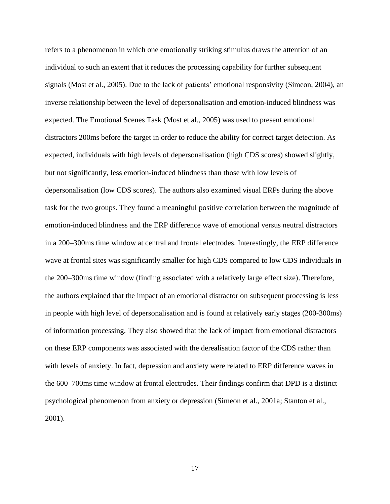refers to a phenomenon in which one emotionally striking stimulus draws the attention of an individual to such an extent that it reduces the processing capability for further subsequent signals [\(Most et al., 2005\)](#page-39-14). Due to the lack of patients' emotional responsivity [\(Simeon, 2004\)](#page-41-4), an inverse relationship between the level of depersonalisation and emotion-induced blindness was expected. The Emotional Scenes Task [\(Most et al., 2005\)](#page-39-14) was used to present emotional distractors 200ms before the target in order to reduce the ability for correct target detection. As expected, individuals with high levels of depersonalisation (high CDS scores) showed slightly, but not significantly, less emotion-induced blindness than those with low levels of depersonalisation (low CDS scores). The authors also examined visual ERPs during the above task for the two groups. They found a meaningful positive correlation between the magnitude of emotion-induced blindness and the ERP difference wave of emotional versus neutral distractors in a 200–300ms time window at central and frontal electrodes. Interestingly, the ERP difference wave at frontal sites was significantly smaller for high CDS compared to low CDS individuals in the 200–300ms time window (finding associated with a relatively large effect size). Therefore, the authors explained that the impact of an emotional distractor on subsequent processing is less in people with high level of depersonalisation and is found at relatively early stages (200-300ms) of information processing. They also showed that the lack of impact from emotional distractors on these ERP components was associated with the derealisation factor of the CDS rather than with levels of anxiety. In fact, depression and anxiety were related to ERP difference waves in the 600–700ms time window at frontal electrodes. Their findings confirm that DPD is a distinct psychological phenomenon from anxiety or depression [\(Simeon et al., 2001a;](#page-41-18) [Stanton et al.,](#page-41-19)  [2001\)](#page-41-19).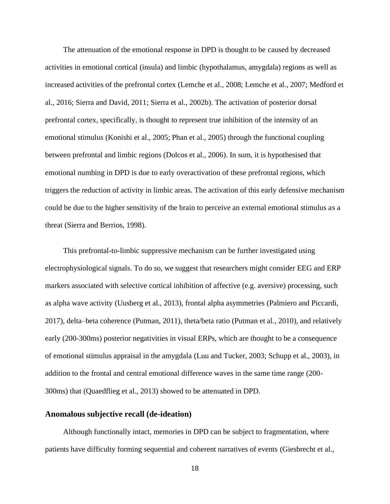The attenuation of the emotional response in DPD is thought to be caused by decreased activities in emotional cortical (insula) and limbic (hypothalamus, amygdala) regions as well as increased activities of the prefrontal cortex [\(Lemche et al.,](#page-37-4) 2008; [Lemche et al., 2007;](#page-37-5) [Medford et](#page-38-9)  [al., 2016;](#page-38-9) [Sierra and David, 2011;](#page-41-5) [Sierra et al., 2002b\)](#page-41-17). The activation of posterior dorsal prefrontal cortex, specifically, is thought to represent true inhibition of the intensity of an emotional stimulus [\(Konishi et al., 2005;](#page-37-14) [Phan et al., 2005\)](#page-39-15) through the functional coupling between prefrontal and limbic regions [\(Dolcos et al., 2006\)](#page-35-13). In sum, it is hypothesised that emotional numbing in DPD is due to early overactivation of these prefrontal regions, which triggers the reduction of activity in limbic areas. The activation of this early defensive mechanism could be due to the higher sensitivity of the brain to perceive an external emotional stimulus as a threat [\(Sierra and Berrios, 1998\)](#page-41-1).

This prefrontal-to-limbic suppressive mechanism can be further investigated using electrophysiological signals. To do so, we suggest that researchers might consider EEG and ERP markers associated with selective cortical inhibition of affective (e.g. aversive) processing, such as alpha wave activity [\(Uusberg et al., 2013\)](#page-42-10), frontal alpha asymmetries [\(Palmiero and Piccardi,](#page-39-16)  [2017\)](#page-39-16), delta–beta coherence [\(Putman, 2011\)](#page-40-11), theta/beta ratio [\(Putman et al., 2010\)](#page-40-12), and relatively early (200-300ms) posterior negativities in visual ERPs, which are thought to be a consequence of emotional stimulus appraisal in the amygdala [\(Luu and Tucker, 2003;](#page-38-16) [Schupp et al., 2003\)](#page-40-13), in addition to the frontal and central emotional difference waves in the same time range (200- 300ms) that [\(Quaedflieg et al., 2013\)](#page-40-10) showed to be attenuated in DPD.

### **Anomalous subjective recall (de-ideation)**

Although functionally intact, memories in DPD can be subject to fragmentation, where patients have difficulty forming sequential and coherent narratives of events [\(Giesbrecht et al.,](#page-35-2)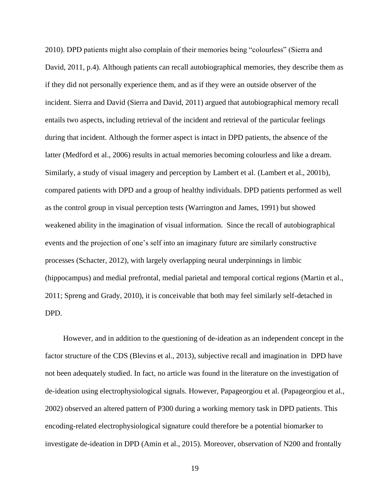[2010\)](#page-35-2). DPD patients might also complain of their memories being "colourless" (Sierra and David, 2011, p.4). Although patients can recall autobiographical memories, they describe them as if they did not personally experience them, and as if they were an outside observer of the incident. Sierra and David [\(Sierra and David, 2011\)](#page-41-5) argued that autobiographical memory recall entails two aspects, including retrieval of the incident and retrieval of the particular feelings during that incident. Although the former aspect is intact in DPD patients, the absence of the latter [\(Medford et al., 2006\)](#page-38-8) results in actual memories becoming colourless and like a dream. Similarly, a study of visual imagery and perception by Lambert et al. [\(Lambert et al., 2001b\)](#page-37-15), compared patients with DPD and a group of healthy individuals. DPD patients performed as well as the control group in visual perception tests [\(Warrington and James, 1991\)](#page-42-11) but showed weakened ability in the imagination of visual information. Since the recall of autobiographical events and the projection of one's self into an imaginary future are similarly constructive processes [\(Schacter, 2012\)](#page-40-14), with largely overlapping neural underpinnings in limbic (hippocampus) and medial prefrontal, medial parietal and temporal cortical regions [\(Martin et al.,](#page-38-17)  [2011;](#page-38-17) [Spreng and Grady, 2010\)](#page-41-20), it is conceivable that both may feel similarly self-detached in DPD.

However, and in addition to the questioning of de-ideation as an independent concept in the factor structure of the CDS [\(Blevins et al., 2013\)](#page-34-17), subjective recall and imagination in DPD have not been adequately studied. In fact, no article was found in the literature on the investigation of de-ideation using electrophysiological signals. However, Papageorgiou et al. [\(Papageorgiou et al.,](#page-39-17)  [2002\)](#page-39-17) observed an altered pattern of P300 during a working memory task in DPD patients. This encoding-related electrophysiological signature could therefore be a potential biomarker to investigate de-ideation in DPD [\(Amin et al., 2015\)](#page-34-18). Moreover, observation of N200 and frontally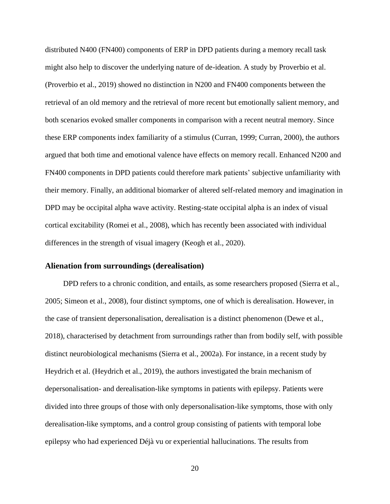distributed N400 (FN400) components of ERP in DPD patients during a memory recall task might also help to discover the underlying nature of de-ideation. A study by Proverbio et al. [\(Proverbio et al., 2019\)](#page-40-15) showed no distinction in N200 and FN400 components between the retrieval of an old memory and the retrieval of more recent but emotionally salient memory, and both scenarios evoked smaller components in comparison with a recent neutral memory. Since these ERP components index familiarity of a stimulus [\(Curran, 1999;](#page-34-19) [Curran, 2000\)](#page-34-20), the authors argued that both time and emotional valence have effects on memory recall. Enhanced N200 and FN400 components in DPD patients could therefore mark patients' subjective unfamiliarity with their memory. Finally, an additional biomarker of altered self-related memory and imagination in DPD may be occipital alpha wave activity. Resting-state occipital alpha is an index of visual cortical excitability [\(Romei et al., 2008\)](#page-40-16), which has recently been associated with individual differences in the strength of visual imagery [\(Keogh et al., 2020\)](#page-37-16).

#### **Alienation from surroundings (derealisation)**

DPD refers to a chronic condition, and entails, as some researchers proposed [\(Sierra et al.,](#page-41-11)  [2005;](#page-41-11) [Simeon et al., 2008\)](#page-41-10), four distinct symptoms, one of which is derealisation. However, in the case of transient depersonalisation, derealisation is a distinct phenomenon [\(Dewe et al.,](#page-35-14)  [2018\)](#page-35-14), characterised by detachment from surroundings rather than from bodily self, with possible distinct neurobiological mechanisms [\(Sierra et al., 2002a\)](#page-41-21). For instance, in a recent study by Heydrich et al. [\(Heydrich et al., 2019\)](#page-36-14), the authors investigated the brain mechanism of depersonalisation- and derealisation-like symptoms in patients with epilepsy. Patients were divided into three groups of those with only depersonalisation-like symptoms, those with only derealisation-like symptoms, and a control group consisting of patients with temporal lobe epilepsy who had experienced Déjà vu or experiential hallucinations. The results from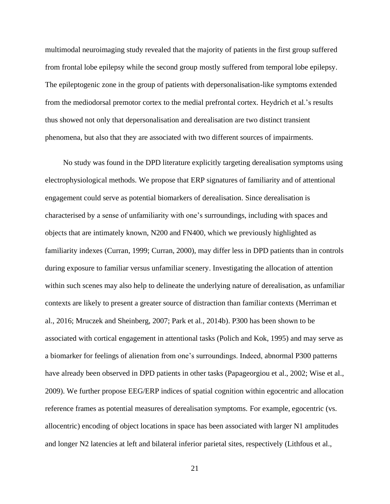multimodal neuroimaging study revealed that the majority of patients in the first group suffered from frontal lobe epilepsy while the second group mostly suffered from temporal lobe epilepsy. The epileptogenic zone in the group of patients with depersonalisation-like symptoms extended from the mediodorsal premotor cortex to the medial prefrontal cortex. Heydrich et al.'s results thus showed not only that depersonalisation and derealisation are two distinct transient phenomena, but also that they are associated with two different sources of impairments.

No study was found in the DPD literature explicitly targeting derealisation symptoms using electrophysiological methods. We propose that ERP signatures of familiarity and of attentional engagement could serve as potential biomarkers of derealisation. Since derealisation is characterised by a sense of unfamiliarity with one's surroundings, including with spaces and objects that are intimately known, N200 and FN400, which we previously highlighted as familiarity indexes [\(Curran, 1999;](#page-34-19) [Curran, 2000\)](#page-34-20), may differ less in DPD patients than in controls during exposure to familiar versus unfamiliar scenery. Investigating the allocation of attention within such scenes may also help to delineate the underlying nature of derealisation, as unfamiliar contexts are likely to present a greater source of distraction than familiar contexts [\(Merriman et](#page-38-18)  [al., 2016;](#page-38-18) [Mruczek and Sheinberg, 2007;](#page-39-18) [Park et al., 2014b\)](#page-39-19). P300 has been shown to be associated with cortical engagement in attentional tasks [\(Polich and Kok, 1995\)](#page-40-17) and may serve as a biomarker for feelings of alienation from one's surroundings. Indeed, abnormal P300 patterns have already been observed in DPD patients in other tasks [\(Papageorgiou et al., 2002;](#page-39-17) [Wise et al.,](#page-42-12)  [2009\)](#page-42-12). We further propose EEG/ERP indices of spatial cognition within egocentric and allocation reference frames as potential measures of derealisation symptoms. For example, egocentric (vs. allocentric) encoding of object locations in space has been associated with larger N1 amplitudes and longer N2 latencies at left and bilateral inferior parietal sites, respectively [\(Lithfous et al.,](#page-37-17)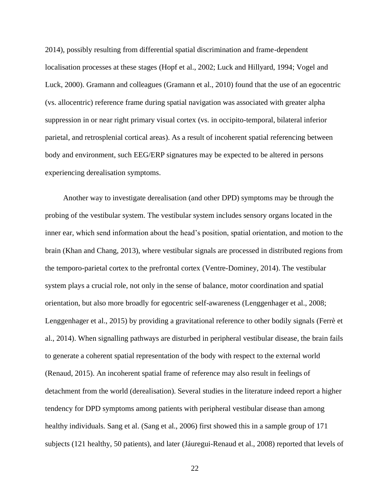[2014\)](#page-37-17), possibly resulting from differential spatial discrimination and frame-dependent localisation processes at these stages [\(Hopf et al., 2002;](#page-36-15) [Luck and Hillyard, 1994;](#page-38-19) [Vogel and](#page-42-13)  [Luck, 2000\)](#page-42-13). Gramann and colleagues [\(Gramann et al., 2010\)](#page-35-15) found that the use of an egocentric (vs. allocentric) reference frame during spatial navigation was associated with greater alpha suppression in or near right primary visual cortex (vs. in occipito-temporal, bilateral inferior parietal, and retrosplenial cortical areas). As a result of incoherent spatial referencing between body and environment, such EEG/ERP signatures may be expected to be altered in persons experiencing derealisation symptoms.

Another way to investigate derealisation (and other DPD) symptoms may be through the probing of the vestibular system. The vestibular system includes sensory organs located in the inner ear, which send information about the head's position, spatial orientation, and motion to the brain [\(Khan and Chang, 2013\)](#page-37-18), where vestibular signals are processed in distributed regions from the temporo-parietal cortex to the prefrontal cortex [\(Ventre-Dominey, 2014\)](#page-42-14). The vestibular system plays a crucial role, not only in the sense of balance, motor coordination and spatial orientation, but also more broadly for egocentric self-awareness [\(Lenggenhager et al., 2008;](#page-37-19) [Lenggenhager et al., 2015\)](#page-37-20) by providing a gravitational reference to other bodily signals [\(Ferrè et](#page-35-16)  [al., 2014\)](#page-35-16). When signalling pathways are disturbed in peripheral vestibular disease, the brain fails to generate a coherent spatial representation of the body with respect to the external world [\(Renaud, 2015\)](#page-40-18). An incoherent spatial frame of reference may also result in feelings of detachment from the world (derealisation). Several studies in the literature indeed report a higher tendency for DPD symptoms among patients with peripheral vestibular disease than among healthy individuals. Sang et al. [\(Sang et al., 2006\)](#page-40-19) first showed this in a sample group of 171 subjects (121 healthy, 50 patients), and later [\(Jáuregui-Renaud et al., 2008\)](#page-36-16) reported that levels of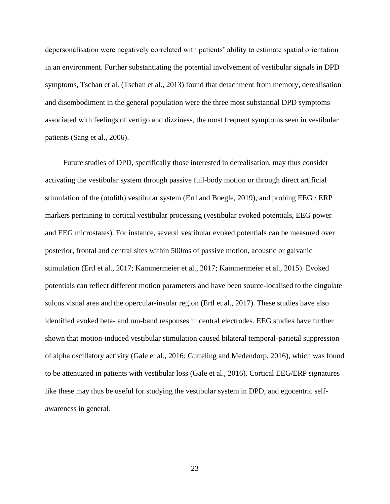depersonalisation were negatively correlated with patients' ability to estimate spatial orientation in an environment. Further substantiating the potential involvement of vestibular signals in DPD symptoms, Tschan et al. [\(Tschan et al., 2013\)](#page-42-15) found that detachment from memory, derealisation and disembodiment in the general population were the three most substantial DPD symptoms associated with feelings of vertigo and dizziness, the most frequent symptoms seen in vestibular patients [\(Sang et al., 2006\)](#page-40-19).

Future studies of DPD, specifically those interested in derealisation, may thus consider activating the vestibular system through passive full-body motion or through direct artificial stimulation of the (otolith) vestibular system [\(Ertl and Boegle, 2019\)](#page-35-17), and probing EEG / ERP markers pertaining to cortical vestibular processing (vestibular evoked potentials, EEG power and EEG microstates). For instance, several vestibular evoked potentials can be measured over posterior, frontal and central sites within 500ms of passive motion, acoustic or galvanic stimulation [\(Ertl et al., 2017;](#page-35-18) [Kammermeier et al., 2017;](#page-36-17) [Kammermeier et al., 2015\)](#page-36-18). Evoked potentials can reflect different motion parameters and have been source-localised to the cingulate sulcus visual area and the opercular-insular region [\(Ertl et al., 2017\)](#page-35-18). These studies have also identified evoked beta- and mu-band responses in central electrodes. EEG studies have further shown that motion-induced vestibular stimulation caused bilateral temporal-parietal suppression of alpha oscillatory activity [\(Gale et al., 2016;](#page-35-19) [Gutteling and Medendorp, 2016\)](#page-36-19), which was found to be attenuated in patients with vestibular loss [\(Gale et al., 2016\)](#page-35-19). Cortical EEG/ERP signatures like these may thus be useful for studying the vestibular system in DPD, and egocentric selfawareness in general.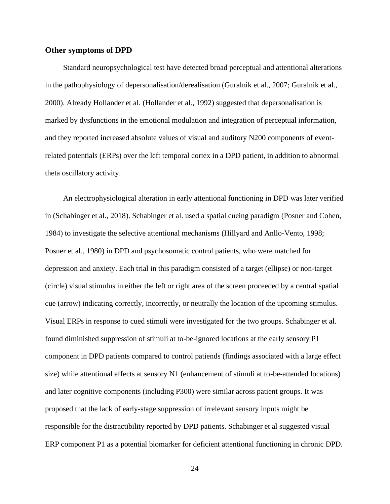#### **Other symptoms of DPD**

Standard neuropsychological test have detected broad perceptual and attentional alterations in the pathophysiology of depersonalisation/derealisation [\(Guralnik et al., 2007;](#page-36-13) [Guralnik et al.,](#page-36-20)  [2000\)](#page-36-20). Already Hollander et al. [\(Hollander et al., 1992\)](#page-36-1) suggested that depersonalisation is marked by dysfunctions in the emotional modulation and integration of perceptual information, and they reported increased absolute values of visual and auditory N200 components of eventrelated potentials (ERPs) over the left temporal cortex in a DPD patient, in addition to abnormal theta oscillatory activity.

An electrophysiological alteration in early attentional functioning in DPD was later verified in [\(Schabinger et al., 2018\)](#page-40-20). Schabinger et al. used a spatial cueing paradigm [\(Posner and Cohen,](#page-40-21)  [1984\)](#page-40-21) to investigate the selective attentional mechanisms [\(Hillyard and Anllo-Vento, 1998;](#page-36-21) [Posner et al., 1980\)](#page-40-22) in DPD and psychosomatic control patients, who were matched for depression and anxiety. Each trial in this paradigm consisted of a target (ellipse) or non-target (circle) visual stimulus in either the left or right area of the screen proceeded by a central spatial cue (arrow) indicating correctly, incorrectly, or neutrally the location of the upcoming stimulus. Visual ERPs in response to cued stimuli were investigated for the two groups. Schabinger et al. found diminished suppression of stimuli at to-be-ignored locations at the early sensory P1 component in DPD patients compared to control patiends (findings associated with a large effect size) while attentional effects at sensory N1 (enhancement of stimuli at to-be-attended locations) and later cognitive components (including P300) were similar across patient groups. It was proposed that the lack of early-stage suppression of irrelevant sensory inputs might be responsible for the distractibility reported by DPD patients. Schabinger et al suggested visual ERP component P1 as a potential biomarker for deficient attentional functioning in chronic DPD.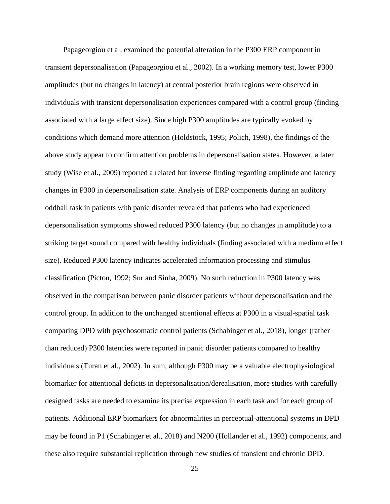Papageorgiou et al. examined the potential alteration in the P300 ERP component in transient depersonalisation [\(Papageorgiou et al., 2002\)](#page-39-17). In a working memory test, lower P300 amplitudes (but no changes in latency) at central posterior brain regions were observed in individuals with transient depersonalisation experiences compared with a control group (finding associated with a large effect size). Since high P300 amplitudes are typically evoked by conditions which demand more attention [\(Holdstock, 1995;](#page-36-22) [Polich, 1998\)](#page-40-23), the findings of the above study appear to confirm attention problems in depersonalisation states. However, a later study [\(Wise et al., 2009\)](#page-42-12) reported a related but inverse finding regarding amplitude and latency changes in P300 in depersonalisation state. Analysis of ERP components during an auditory oddball task in patients with panic disorder revealed that patients who had experienced depersonalisation symptoms showed reduced P300 latency (but no changes in amplitude) to a striking target sound compared with healthy individuals (finding associated with a medium effect size). Reduced P300 latency indicates accelerated information processing and stimulus classification [\(Picton, 1992;](#page-40-24) [Sur and Sinha, 2009\)](#page-41-22). No such reduction in P300 latency was observed in the comparison between panic disorder patients without depersonalisation and the control group. In addition to the unchanged attentional effects at P300 in a visual-spatial task comparing DPD with psychosomatic control patients [\(Schabinger et al., 2018\)](#page-40-20), longer (rather than reduced) P300 latencies were reported in panic disorder patients compared to healthy individuals [\(Turan et al., 2002\)](#page-42-16). In sum, although P300 may be a valuable electrophysiological biomarker for attentional deficits in depersonalisation/derealisation, more studies with carefully designed tasks are needed to examine its precise expression in each task and for each group of patients. Additional ERP biomarkers for abnormalities in perceptual-attentional systems in DPD may be found in P1 [\(Schabinger et al., 2018\)](#page-40-20) and N200 [\(Hollander et al., 1992\)](#page-36-1) components, and these also require substantial replication through new studies of transient and chronic DPD.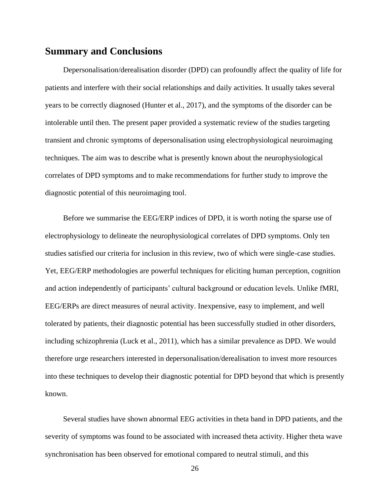## **Summary and Conclusions**

Depersonalisation/derealisation disorder (DPD) can profoundly affect the quality of life for patients and interfere with their social relationships and daily activities. It usually takes several years to be correctly diagnosed [\(Hunter et al., 2017\)](#page-36-3), and the symptoms of the disorder can be intolerable until then. The present paper provided a systematic review of the studies targeting transient and chronic symptoms of depersonalisation using electrophysiological neuroimaging techniques. The aim was to describe what is presently known about the neurophysiological correlates of DPD symptoms and to make recommendations for further study to improve the diagnostic potential of this neuroimaging tool.

Before we summarise the EEG/ERP indices of DPD, it is worth noting the sparse use of electrophysiology to delineate the neurophysiological correlates of DPD symptoms. Only ten studies satisfied our criteria for inclusion in this review, two of which were single-case studies. Yet, EEG/ERP methodologies are powerful techniques for eliciting human perception, cognition and action independently of participants' cultural background or education levels. Unlike fMRI, EEG/ERPs are direct measures of neural activity. Inexpensive, easy to implement, and well tolerated by patients, their diagnostic potential has been successfully studied in other disorders, including schizophrenia [\(Luck et al., 2011\)](#page-38-20), which has a similar prevalence as DPD. We would therefore urge researchers interested in depersonalisation/derealisation to invest more resources into these techniques to develop their diagnostic potential for DPD beyond that which is presently known.

Several studies have shown abnormal EEG activities in theta band in DPD patients, and the severity of symptoms was found to be associated with increased theta activity. Higher theta wave synchronisation has been observed for emotional compared to neutral stimuli, and this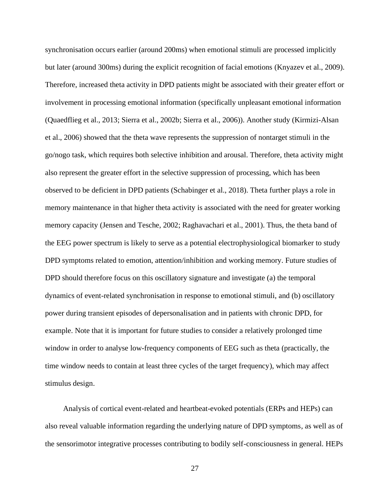synchronisation occurs earlier (around 200ms) when emotional stimuli are processed implicitly but later (around 300ms) during the explicit recognition of facial emotions [\(Knyazev et al., 2009\)](#page-37-21). Therefore, increased theta activity in DPD patients might be associated with their greater effort or involvement in processing emotional information (specifically unpleasant emotional information [\(Quaedflieg et al., 2013;](#page-40-10) [Sierra et al., 2002b;](#page-41-17) [Sierra et al., 2006\)](#page-41-8)). Another study [\(Kirmizi-Alsan](#page-37-22)  [et al., 2006\)](#page-37-22) showed that the theta wave represents the suppression of nontarget stimuli in the go/nogo task, which requires both selective inhibition and arousal. Therefore, theta activity might also represent the greater effort in the selective suppression of processing, which has been observed to be deficient in DPD patients [\(Schabinger et al., 2018\)](#page-40-20). Theta further plays a role in memory maintenance in that higher theta activity is associated with the need for greater working memory capacity [\(Jensen and Tesche, 2002;](#page-36-23) [Raghavachari et al., 2001\)](#page-40-25). Thus, the theta band of the EEG power spectrum is likely to serve as a potential electrophysiological biomarker to study DPD symptoms related to emotion, attention/inhibition and working memory. Future studies of DPD should therefore focus on this oscillatory signature and investigate (a) the temporal dynamics of event-related synchronisation in response to emotional stimuli, and (b) oscillatory power during transient episodes of depersonalisation and in patients with chronic DPD, for example. Note that it is important for future studies to consider a relatively prolonged time window in order to analyse low-frequency components of EEG such as theta (practically, the time window needs to contain at least three cycles of the target frequency), which may affect stimulus design.

Analysis of cortical event-related and heartbeat-evoked potentials (ERPs and HEPs) can also reveal valuable information regarding the underlying nature of DPD symptoms, as well as of the sensorimotor integrative processes contributing to bodily self-consciousness in general. HEPs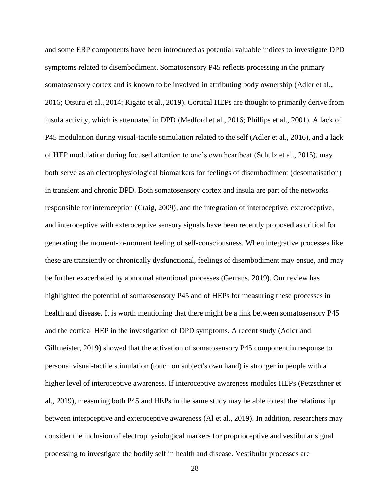and some ERP components have been introduced as potential valuable indices to investigate DPD symptoms related to disembodiment. Somatosensory P45 reflects processing in the primary somatosensory cortex and is known to be involved in attributing body ownership [\(Adler et al.,](#page-34-7)  [2016;](#page-34-7) [Otsuru et al., 2014;](#page-39-20) [Rigato et al., 2019\)](#page-40-26). Cortical HEPs are thought to primarily derive from insula activity, which is attenuated in DPD [\(Medford et al., 2016;](#page-38-9) [Phillips et al., 2001\)](#page-39-2). A lack of P45 modulation during visual-tactile stimulation related to the self [\(Adler et al., 2016\)](#page-34-7), and a lack of HEP modulation during focused attention to one's own heartbeat [\(Schulz et al., 2015\)](#page-40-8), may both serve as an electrophysiological biomarkers for feelings of disembodiment (desomatisation) in transient and chronic DPD. Both somatosensory cortex and insula are part of the networks responsible for interoception [\(Craig, 2009\)](#page-34-14), and the integration of interoceptive, exteroceptive, and interoceptive with exteroceptive sensory signals have been recently proposed as critical for generating the moment-to-moment feeling of self-consciousness. When integrative processes like these are transiently or chronically dysfunctional, feelings of disembodiment may ensue, and may be further exacerbated by abnormal attentional processes [\(Gerrans,](#page-35-12) 2019). Our review has highlighted the potential of somatosensory P45 and of HEPs for measuring these processes in health and disease. It is worth mentioning that there might be a link between somatosensory P45 and the cortical HEP in the investigation of DPD symptoms. A recent study [\(Adler and](#page-34-21)  [Gillmeister, 2019\)](#page-34-21) showed that the activation of somatosensory P45 component in response to personal visual-tactile stimulation (touch on subject's own hand) is stronger in people with a higher level of interoceptive awareness. If interoceptive awareness modules HEPs [\(Petzschner et](#page-39-21)  [al., 2019\)](#page-39-21), measuring both P45 and HEPs in the same study may be able to test the relationship between interoceptive and exteroceptive awareness [\(Al et al., 2019\)](#page-34-22). In addition, researchers may consider the inclusion of electrophysiological markers for proprioceptive and vestibular signal processing to investigate the bodily self in health and disease. Vestibular processes are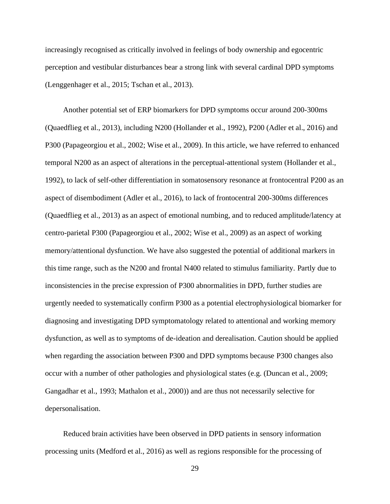increasingly recognised as critically involved in feelings of body ownership and egocentric perception and vestibular disturbances bear a strong link with several cardinal DPD symptoms [\(Lenggenhager et al., 2015;](#page-37-20) [Tschan et al., 2013\)](#page-42-15).

Another potential set of ERP biomarkers for DPD symptoms occur around 200-300ms [\(Quaedflieg et al., 2013\)](#page-40-10), including N200 [\(Hollander et al., 1992\)](#page-36-1), P200 [\(Adler et al., 2016\)](#page-34-7) and P300 [\(Papageorgiou et al., 2002;](#page-39-17) [Wise et al., 2009\)](#page-42-12). In this article, we have referred to enhanced temporal N200 as an aspect of alterations in the perceptual-attentional system [\(Hollander et al.,](#page-36-1)  [1992\)](#page-36-1), to lack of self-other differentiation in somatosensory resonance at frontocentral P200 as an aspect of disembodiment [\(Adler et al., 2016\)](#page-34-7), to lack of frontocentral 200-300ms differences [\(Quaedflieg et al., 2013\)](#page-40-10) as an aspect of emotional numbing, and to reduced amplitude/latency at centro-parietal P300 [\(Papageorgiou et al., 2002;](#page-39-17) [Wise et al., 2009\)](#page-42-12) as an aspect of working memory/attentional dysfunction. We have also suggested the potential of additional markers in this time range, such as the N200 and frontal N400 related to stimulus familiarity. Partly due to inconsistencies in the precise expression of P300 abnormalities in DPD, further studies are urgently needed to systematically confirm P300 as a potential electrophysiological biomarker for diagnosing and investigating DPD symptomatology related to attentional and working memory dysfunction, as well as to symptoms of de-ideation and derealisation. Caution should be applied when regarding the association between P300 and DPD symptoms because P300 changes also occur with a number of other pathologies and physiological states (e.g. [\(Duncan et al., 2009;](#page-35-20) [Gangadhar et al., 1993;](#page-35-21) [Mathalon et al., 2000\)](#page-38-21)) and are thus not necessarily selective for depersonalisation.

Reduced brain activities have been observed in DPD patients in sensory information processing units [\(Medford et al., 2016\)](#page-38-9) as well as regions responsible for the processing of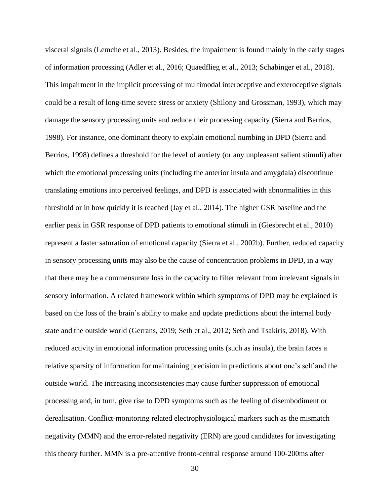visceral signals [\(Lemche et al., 2013\)](#page-37-13). Besides, the impairment is found mainly in the early stages of information processing [\(Adler et al., 2016;](#page-34-7) [Quaedflieg et al., 2013;](#page-40-10) [Schabinger et al., 2018\)](#page-40-20). This impairment in the implicit processing of multimodal interoceptive and exteroceptive signals could be a result of long-time severe stress or anxiety [\(Shilony and Grossman, 1993\)](#page-41-0), which may damage the sensory processing units and reduce their processing capacity [\(Sierra and Berrios,](#page-41-1)  [1998\)](#page-41-1). For instance, one dominant theory to explain emotional numbing in DPD [\(Sierra and](#page-41-1)  [Berrios, 1998\)](#page-41-1) defines a threshold for the level of anxiety (or any unpleasant salient stimuli) after which the emotional processing units (including the anterior insula and amygdala) discontinue translating emotions into perceived feelings, and DPD is associated with abnormalities in this threshold or in how quickly it is reached [\(Jay et al., 2014\)](#page-36-4). The higher GSR baseline and the earlier peak in GSR response of DPD patients to emotional stimuli in [\(Giesbrecht et al., 2010\)](#page-35-2) represent a faster saturation of emotional capacity [\(Sierra et al., 2002b\)](#page-41-17). Further, reduced capacity in sensory processing units may also be the cause of concentration problems in DPD, in a way that there may be a commensurate loss in the capacity to filter relevant from irrelevant signals in sensory information. A related framework within which symptoms of DPD may be explained is based on the loss of the brain's ability to make and update predictions about the internal body state and the outside world [\(Gerrans, 2019;](#page-35-12) [Seth et al.,](#page-41-23) 2012; [Seth and Tsakiris, 2018\)](#page-41-24). With reduced activity in emotional information processing units (such as insula), the brain faces a relative sparsity of information for maintaining precision in predictions about one's self and the outside world. The increasing inconsistencies may cause further suppression of emotional processing and, in turn, give rise to DPD symptoms such as the feeling of disembodiment or derealisation. Conflict-monitoring related electrophysiological markers such as the mismatch negativity (MMN) and the error-related negativity (ERN) are good candidates for investigating this theory further. MMN is a pre-attentive fronto-central response around 100-200ms after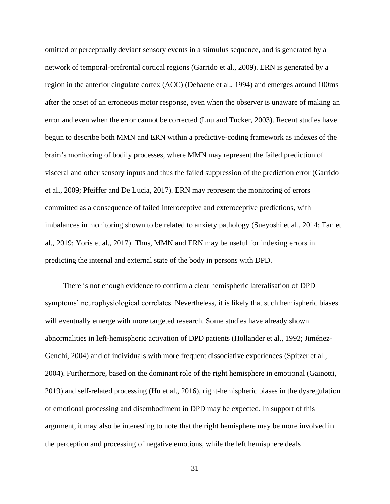omitted or perceptually deviant sensory events in a stimulus sequence, and is generated by a network of temporal-prefrontal cortical regions [\(Garrido et al., 2009\)](#page-35-22). ERN is generated by a region in the anterior cingulate cortex (ACC) [\(Dehaene et al., 1994\)](#page-34-23) and emerges around 100ms after the onset of an erroneous motor response, even when the observer is unaware of making an error and even when the error cannot be corrected [\(Luu and Tucker, 2003\)](#page-38-16). Recent studies have begun to describe both MMN and ERN within a predictive-coding framework as indexes of the brain's monitoring of bodily processes, where MMN may represent the failed prediction of visceral and other sensory inputs and thus the failed suppression of the prediction error [\(Garrido](#page-35-22)  [et al., 2009;](#page-35-22) [Pfeiffer and De Lucia, 2017\)](#page-39-22). ERN may represent the monitoring of errors committed as a consequence of failed interoceptive and exteroceptive predictions, with imbalances in monitoring shown to be related to anxiety pathology [\(Sueyoshi et al., 2014;](#page-41-25) [Tan et](#page-42-17)  [al., 2019;](#page-42-17) [Yoris et al., 2017\)](#page-42-18). Thus, MMN and ERN may be useful for indexing errors in predicting the internal and external state of the body in persons with DPD.

There is not enough evidence to confirm a clear hemispheric lateralisation of DPD symptoms' neurophysiological correlates. Nevertheless, it is likely that such hemispheric biases will eventually emerge with more targeted research. Some studies have already shown abnormalities in left-hemispheric activation of DPD patients [\(Hollander et al., 1992;](#page-36-1) [Jiménez-](#page-36-24)[Genchi, 2004\)](#page-36-24) and of individuals with more frequent dissociative experiences [\(Spitzer et al.,](#page-41-26)  [2004\)](#page-41-26). Furthermore, based on the dominant role of the right hemisphere in emotional [\(Gainotti,](#page-35-23)  [2019\)](#page-35-23) and self-related processing [\(Hu et al., 2016\)](#page-36-9), right-hemispheric biases in the dysregulation of emotional processing and disembodiment in DPD may be expected. In support of this argument, it may also be interesting to note that the right hemisphere may be more involved in the perception and processing of negative emotions, while the left hemisphere deals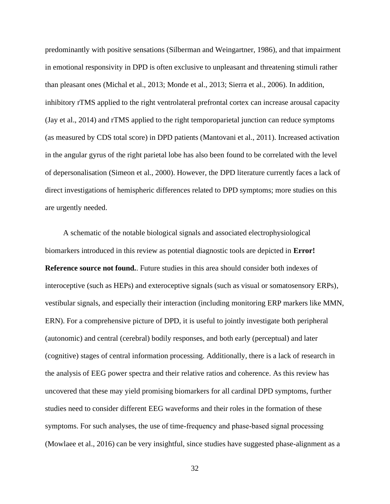predominantly with positive sensations [\(Silberman and Weingartner, 1986\)](#page-41-27), and that impairment in emotional responsivity in DPD is often exclusive to unpleasant and threatening stimuli rather than pleasant ones [\(Michal et al., 2013;](#page-38-6) [Monde et al., 2013;](#page-39-1) [Sierra et al., 2006\)](#page-41-8). In addition, inhibitory rTMS applied to the right ventrolateral prefrontal cortex can increase arousal capacity [\(Jay et al., 2014\)](#page-36-4) and rTMS applied to the right temporoparietal junction can reduce symptoms (as measured by CDS total score) in DPD patients [\(Mantovani et al., 2011\)](#page-38-22). Increased activation in the angular gyrus of the right parietal lobe has also been found to be correlated with the level of depersonalisation [\(Simeon et al., 2000\)](#page-41-9). However, the DPD literature currently faces a lack of direct investigations of hemispheric differences related to DPD symptoms; more studies on this are urgently needed.

A schematic of the notable biological signals and associated electrophysiological biomarkers introduced in this review as potential diagnostic tools are depicted in **Error! Reference source not found.**. Future studies in this area should consider both indexes of interoceptive (such as HEPs) and exteroceptive signals (such as visual or somatosensory ERPs), vestibular signals, and especially their interaction (including monitoring ERP markers like MMN, ERN). For a comprehensive picture of DPD, it is useful to jointly investigate both peripheral (autonomic) and central (cerebral) bodily responses, and both early (perceptual) and later (cognitive) stages of central information processing. Additionally, there is a lack of research in the analysis of EEG power spectra and their relative ratios and coherence. As this review has uncovered that these may yield promising biomarkers for all cardinal DPD symptoms, further studies need to consider different EEG waveforms and their roles in the formation of these symptoms. For such analyses, the use of time-frequency and phase-based signal processing [\(Mowlaee et al., 2016\)](#page-39-23) can be very insightful, since studies have suggested phase-alignment as a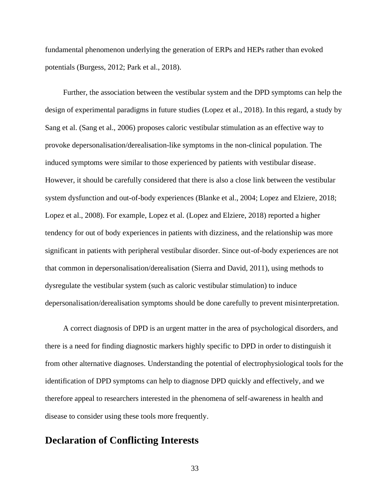fundamental phenomenon underlying the generation of ERPs and HEPs rather than evoked potentials [\(Burgess, 2012;](#page-34-24) [Park et al., 2018\)](#page-39-24).

Further, the association between the vestibular system and the DPD symptoms can help the design of experimental paradigms in future studies [\(Lopez et al., 2018\)](#page-38-23). In this regard, a study by Sang et al. [\(Sang et al., 2006\)](#page-40-19) proposes caloric vestibular stimulation as an effective way to provoke depersonalisation/derealisation-like symptoms in the non-clinical population. The induced symptoms were similar to those experienced by patients with vestibular disease. However, it should be carefully considered that there is also a close link between the vestibular system dysfunction and out-of-body experiences [\(Blanke et al., 2004;](#page-34-25) [Lopez and Elziere, 2018;](#page-37-23) [Lopez et al., 2008\)](#page-38-24). For example, Lopez et al. [\(Lopez and Elziere, 2018\)](#page-37-23) reported a higher tendency for out of body experiences in patients with dizziness, and the relationship was more significant in patients with peripheral vestibular disorder. Since out-of-body experiences are not that common in depersonalisation/derealisation [\(Sierra and David, 2011\)](#page-41-5), using methods to dysregulate the vestibular system (such as caloric vestibular stimulation) to induce depersonalisation/derealisation symptoms should be done carefully to prevent misinterpretation.

A correct diagnosis of DPD is an urgent matter in the area of psychological disorders, and there is a need for finding diagnostic markers highly specific to DPD in order to distinguish it from other alternative diagnoses. Understanding the potential of electrophysiological tools for the identification of DPD symptoms can help to diagnose DPD quickly and effectively, and we therefore appeal to researchers interested in the phenomena of self-awareness in health and disease to consider using these tools more frequently.

## **Declaration of Conflicting Interests**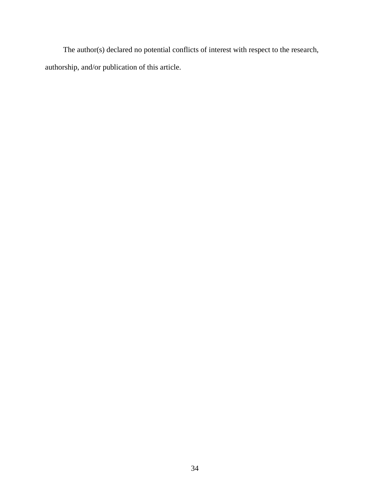The author(s) declared no potential conflicts of interest with respect to the research, authorship, and/or publication of this article.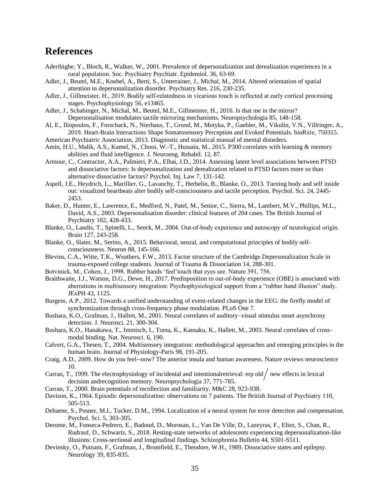# <span id="page-34-26"></span>**References**

- <span id="page-34-5"></span>Aderibigbe, Y., Bloch, R., Walker, W., 2001. Prevalence of depersonalization and derealization experiences in a rural population. Soc. Psychiatry Psychiatr. Epidemiol. 36, 63-69.
- <span id="page-34-16"></span>Adler, J., Beutel, M.E., Knebel, A., Berti, S., Unterrainer, J., Michal, M., 2014. Altered orientation of spatial attention in depersonalization disorder. Psychiatry Res. 216, 230-235.
- <span id="page-34-21"></span>Adler, J., Gillmeister, H., 2019. Bodily self-relatedness in vicarious touch is reflected at early cortical processing stages. Psychophysiology 56, e13465.
- <span id="page-34-7"></span>Adler, J., Schabinger, N., Michal, M., Beutel, M.E., Gillmeister, H., 2016. Is that me in the mirror? Depersonalisation modulates tactile mirroring mechanisms. Neuropsychologia 85, 148-158.
- <span id="page-34-22"></span>Al, E., Iliopoulos, F., Forschack, N., Nierhaus, T., Grund, M., Motyka, P., Gaebler, M., Vikulin, V.N., Villringer, A., 2019. Heart-Brain Interactions Shape Somatosensory Perception and Evoked Potentials. bioRxiv, 750315.
- <span id="page-34-0"></span>American Psychiatric Association, 2013. Diagnostic and statistical manual of mental disorders.
- <span id="page-34-18"></span>Amin, H.U., Malik, A.S., Kamel, N., Chooi, W.-T., Hussain, M., 2015. P300 correlates with learning & memory abilities and fluid intelligence. J. Neuroeng. Rehabil. 12, 87.
- <span id="page-34-3"></span>Armour, C., Contractor, A.A., Palmieri, P.A., Elhai, J.D., 2014. Assessing latent level associations between PTSD and dissociative factors: Is depersonalization and derealization related to PTSD factors more so than alternative dissociative factors? Psychol. Inj. Law 7, 131-142.
- <span id="page-34-15"></span>Aspell, J.E., Heydrich, L., Marillier, G., Lavanchy, T., Herbelin, B., Blanke, O., 2013. Turning body and self inside out: visualized heartbeats alter bodily self-consciousness and tactile perception. Psychol. Sci. 24, 2445- 2453.
- <span id="page-34-1"></span>Baker, D., Hunter, E., Lawrence, E., Medford, N., Patel, M., Senior, C., Sierra, M., Lambert, M.V., Phillips, M.L., David, A.S., 2003. Depersonalisation disorder: clinical features of 204 cases. The British Journal of Psychiatry 182, 428-433.
- <span id="page-34-25"></span>Blanke, O., Landis, T., Spinelli, L., Seeck, M., 2004. Out‐of‐body experience and autoscopy of neurological origin. Brain 127, 243-258.
- <span id="page-34-9"></span>Blanke, O., Slater, M., Serino, A., 2015. Behavioral, neural, and computational principles of bodily selfconsciousness. Neuron 88, 145-166.
- <span id="page-34-17"></span>Blevins, C.A., Witte, T.K., Weathers, F.W., 2013. Factor structure of the Cambridge Depersonalization Scale in trauma-exposed college students. Journal of Trauma & Dissociation 14, 288-301.
- <span id="page-34-8"></span>Botvinick, M., Cohen, J., 1998. Rubber hands 'feel'touch that eyes see. Nature 391, 756.
- <span id="page-34-13"></span>Braithwaite, J.J., Watson, D.G., Dewe, H., 2017. Predisposition to out-of-body experience (OBE) is associated with aberrations in multisensory integration: Psychophysiological support from a "rubber hand illusion" study. JExPH 43, 1125.
- <span id="page-34-24"></span>Burgess, A.P., 2012. Towards a unified understanding of event-related changes in the EEG: the firefly model of synchronization through cross-frequency phase modulation. PLoS One 7.
- <span id="page-34-11"></span>Bushara, K.O., Grafman, J., Hallett, M., 2001. Neural correlates of auditory–visual stimulus onset asynchrony detection. J. Neurosci. 21, 300-304.
- <span id="page-34-12"></span>Bushara, K.O., Hanakawa, T., Immisch, I., Toma, K., Kansaku, K., Hallett, M., 2003. Neural correlates of crossmodal binding. Nat. Neurosci. 6, 190.
- <span id="page-34-10"></span>Calvert, G.A., Thesen, T., 2004. Multisensory integration: methodological approaches and emerging principles in the human brain. Journal of Physiology-Paris 98, 191-205.
- <span id="page-34-14"></span>Craig, A.D., 2009. How do you feel--now? The anterior insula and human awareness. Nature reviews neuroscience 10.
- <span id="page-34-19"></span>Curran, T., 1999. The electrophysiology of incidental and intentionalretrieval: erp old  $/$  new effects in lexical decision andrecognition memory. Neuropsychologia 37, 771-785.
- <span id="page-34-20"></span>Curran, T., 2000. Brain potentials of recollection and familiarity. M&C 28, 923-938.
- <span id="page-34-6"></span>Davison, K., 1964. Episodic depersonalization: observations on 7 patients. The British Journal of Psychiatry 110, 505-513.
- <span id="page-34-23"></span>Dehaene, S., Posner, M.I., Tucker, D.M., 1994. Localization of a neural system for error detection and compensation. Psychol. Sci. 5, 303-305.
- <span id="page-34-4"></span>Derome, M., Fonseca-Pedrero, E., Badoud, D., Morosan, L., Van De Ville, D., Lazeyras, F., Eliez, S., Chan, R., Rudrauf, D., Schwartz, S., 2018. Resting-state networks of adolescents experiencing depersonalization-like illusions: Cross-sectional and longitudinal findings. Schizophrenia Bulletin 44, S501-S511.
- <span id="page-34-2"></span>Devinsky, O., Putnam, F., Grafman, J., Bromfield, E., Theodore, W.H., 1989. Dissociative states and epilepsy. Neurology 39, 835-835.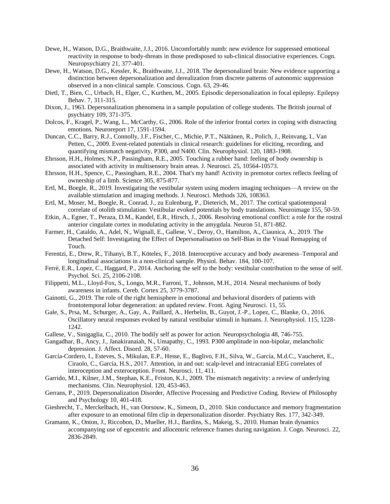- <span id="page-35-1"></span>Dewe, H., Watson, D.G., Braithwaite, J.J., 2016. Uncomfortably numb: new evidence for suppressed emotional reactivity in response to body-threats in those predisposed to sub-clinical dissociative experiences. Cogn. Neuropsychiatry 21, 377-401.
- <span id="page-35-14"></span>Dewe, H., Watson, D.G., Kessler, K., Braithwaite, J.J., 2018. The depersonalized brain: New evidence supporting a distinction between depersonalization and derealization from discrete patterns of autonomic suppression observed in a non-clinical sample. Conscious. Cogn. 63, 29-46.
- <span id="page-35-4"></span>Dietl, T., Bien, C., Urbach, H., Elger, C., Kurthen, M., 2005. Episodic depersonalization in focal epilepsy. Epilepsy Behav. 7, 311-315.
- <span id="page-35-0"></span>Dixon, J., 1963. Depersonalization phenomena in a sample population of college students. The British journal of psychiatry 109, 371-375.
- <span id="page-35-13"></span>Dolcos, F., Kragel, P., Wang, L., McCarthy, G., 2006. Role of the inferior frontal cortex in coping with distracting emotions. Neuroreport 17, 1591-1594.
- <span id="page-35-20"></span>Duncan, C.C., Barry, R.J., Connolly, J.F., Fischer, C., Michie, P.T., Näätänen, R., Polich, J., Reinvang, I., Van Petten, C., 2009. Event-related potentials in clinical research: guidelines for eliciting, recording, and quantifying mismatch negativity, P300, and N400. Clin. Neurophysiol. 120, 1883-1908.
- <span id="page-35-8"></span>Ehrsson, H.H., Holmes, N.P., Passingham, R.E., 2005. Touching a rubber hand: feeling of body ownership is associated with activity in multisensory brain areas. J. Neurosci. 25, 10564-10573.
- <span id="page-35-7"></span>Ehrsson, H.H., Spence, C., Passingham, R.E., 2004. That's my hand! Activity in premotor cortex reflects feeling of ownership of a limb. Science 305, 875-877.
- <span id="page-35-17"></span>Ertl, M., Boegle, R., 2019. Investigating the vestibular system using modern imaging techniques—A review on the available stimulation and imaging methods. J. Neurosci. Methods 326, 108363.
- <span id="page-35-18"></span>Ertl, M., Moser, M., Boegle, R., Conrad, J., zu Eulenburg, P., Dieterich, M., 2017. The cortical spatiotemporal correlate of otolith stimulation: Vestibular evoked potentials by body translations. Neuroimage 155, 50-59.
- <span id="page-35-3"></span>Etkin, A., Egner, T., Peraza, D.M., Kandel, E.R., Hirsch, J., 2006. Resolving emotional conflict: a role for the rostral anterior cingulate cortex in modulating activity in the amygdala. Neuron 51, 871-882.
- <span id="page-35-9"></span>Farmer, H., Cataldo, A., Adel, N., Wignall, E., Gallese, V., Deroy, O., Hamilton, A., Ciaunica, A., 2019. The Detached Self: Investigating the Effect of Depersonalisation on Self-Bias in the Visual Remapping of Touch.
- <span id="page-35-10"></span>Ferentzi, E., Drew, R., Tihanyi, B.T., Köteles, F., 2018. Interoceptive accuracy and body awareness–Temporal and longitudinal associations in a non-clinical sample. Physiol. Behav. 184, 100-107.
- <span id="page-35-16"></span>Ferrè, E.R., Lopez, C., Haggard, P., 2014. Anchoring the self to the body: vestibular contribution to the sense of self. Psychol. Sci. 25, 2106-2108.
- <span id="page-35-5"></span>Filippetti, M.L., Lloyd-Fox, S., Longo, M.R., Farroni, T., Johnson, M.H., 2014. Neural mechanisms of body awareness in infants. Cereb. Cortex 25, 3779-3787.
- <span id="page-35-23"></span>Gainotti, G., 2019. The role of the right hemisphere in emotional and behavioral disorders of patients with frontotemporal lobar degeneration: an updated review. Front. Aging Neurosci. 11, 55.
- <span id="page-35-19"></span>Gale, S., Prsa, M., Schurger, A., Gay, A., Paillard, A., Herbelin, B., Guyot, J.-P., Lopez, C., Blanke, O., 2016. Oscillatory neural responses evoked by natural vestibular stimuli in humans. J. Neurophysiol. 115, 1228- 1242.
- <span id="page-35-6"></span>Gallese, V., Sinigaglia, C., 2010. The bodily self as power for action. Neuropsychologia 48, 746-755.
- <span id="page-35-21"></span>Gangadhar, B., Ancy, J., Janakiranaiah, N., Umapathy, C., 1993. P300 amplitude in non-bipolar, melancholic depression. J. Affect. Disord. 28, 57-60.
- <span id="page-35-11"></span>García-Cordero, I., Esteves, S., Mikulan, E.P., Hesse, E., Baglivo, F.H., Silva, W., García, M.d.C., Vaucheret, E., Ciraolo, C., García, H.S., 2017. Attention, in and out: scalp-level and intracranial EEG correlates of interoception and exteroception. Front. Neurosci. 11, 411.
- <span id="page-35-22"></span>Garrido, M.I., Kilner, J.M., Stephan, K.E., Friston, K.J., 2009. The mismatch negativity: a review of underlying mechanisms. Clin. Neurophysiol. 120, 453-463.
- <span id="page-35-12"></span>Gerrans, P., 2019. Depersonalization Disorder, Affective Processing and Predictive Coding. Review of Philosophy and Psychology 10, 401-418.
- <span id="page-35-2"></span>Giesbrecht, T., Merckelbach, H., van Oorsouw, K., Simeon, D., 2010. Skin conductance and memory fragmentation after exposure to an emotional film clip in depersonalization disorder. Psychiatry Res. 177, 342-349.
- <span id="page-35-15"></span>Gramann, K., Onton, J., Riccobon, D., Mueller, H.J., Bardins, S., Makeig, S., 2010. Human brain dynamics accompanying use of egocentric and allocentric reference frames during navigation. J. Cogn. Neurosci. 22, 2836-2849.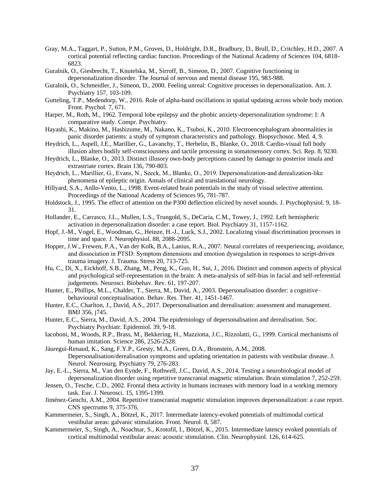- <span id="page-36-26"></span><span id="page-36-10"></span>Gray, M.A., Taggart, P., Sutton, P.M., Groves, D., Holdright, D.R., Bradbury, D., Brull, D., Critchley, H.D., 2007. A cortical potential reflecting cardiac function. Proceedings of the National Academy of Sciences 104, 6818- 6823.
- <span id="page-36-13"></span>Guralnik, O., Giesbrecht, T., Knutelska, M., Sirroff, B., Simeon, D., 2007. Cognitive functioning in depersonalization disorder. The Journal of nervous and mental disease 195, 983-988.
- <span id="page-36-20"></span>Guralnik, O., Schmeidler, J., Simeon, D., 2000. Feeling unreal: Cognitive processes in depersonalization. Am. J. Psychiatry 157, 103-109.
- <span id="page-36-25"></span><span id="page-36-19"></span>Gutteling, T.P., Medendorp, W., 2016. Role of alpha-band oscillations in spatial updating across whole body motion. Front. Psychol. 7, 671.
- <span id="page-36-5"></span>Harper, M., Roth, M., 1962. Temporal lobe epilepsy and the phobic anxiety-depersonalization syndrome: I: A comparative study. Compr. Psychiatry.
- <span id="page-36-7"></span>Hayashi, K., Makino, M., Hashizume, M., Nakano, K., Tsuboi, K., 2010. Electroencephalogram abnormalities in panic disorder patients: a study of symptom characteristics and pathology. Biopsychosoc. Med. 4, 9.
- <span id="page-36-12"></span>Heydrich, L., Aspell, J.E., Marillier, G., Lavanchy, T., Herbelin, B., Blanke, O., 2018. Cardio-visual full body illusion alters bodily self-consciousness and tactile processing in somatosensory cortex. Sci. Rep. 8, 9230.
- <span id="page-36-11"></span>Heydrich, L., Blanke, O., 2013. Distinct illusory own-body perceptions caused by damage to posterior insula and extrastriate cortex. Brain 136, 790-803.
- <span id="page-36-14"></span>Heydrich, L., Marillier, G., Evans, N., Seeck, M., Blanke, O., 2019. Depersonalization-and derealization-like phenomena of epileptic origin. Annals of clinical and translational neurology.
- <span id="page-36-21"></span>Hillyard, S.A., Anllo-Vento, L., 1998. Event-related brain potentials in the study of visual selective attention. Proceedings of the National Academy of Sciences 95, 781-787.
- <span id="page-36-22"></span>Holdstock, J., 1995. The effect of attention on the P300 deflection elicited by novel sounds. J. Psychophysiol. 9, 18- 31.
- <span id="page-36-1"></span>Hollander, E., Carrasco, J.L., Mullen, L.S., Trungold, S., DeCaria, C.M., Towey, J., 1992. Left hemispheric activation in depersonalization disorder: a case report. Biol. Psychiatry 31, 1157-1162.
- <span id="page-36-15"></span>Hopf, J.-M., Vogel, E., Woodman, G., Heinze, H.-J., Luck, S.J., 2002. Localizing visual discrimination processes in time and space. J. Neurophysiol. 88, 2088-2095.
- <span id="page-36-6"></span>Hopper, J.W., Frewen, P.A., Van der Kolk, B.A., Lanius, R.A., 2007. Neural correlates of reexperiencing, avoidance, and dissociation in PTSD: Symptom dimensions and emotion dysregulation in responses to script-driven trauma imagery. J. Trauma. Stress 20, 713-725.
- <span id="page-36-9"></span>Hu, C., Di, X., Eickhoff, S.B., Zhang, M., Peng, K., Guo, H., Sui, J., 2016. Distinct and common aspects of physical and psychological self-representation in the brain: A meta-analysis of self-bias in facial and self-referential judgements. Neurosci. Biobehav. Rev. 61, 197-207.
- <span id="page-36-0"></span>Hunter, E., Phillips, M.L., Chalder, T., Sierra, M., David, A., 2003. Depersonalisation disorder: a cognitive– behavioural conceptualisation. Behav. Res. Ther. 41, 1451-1467.
- <span id="page-36-3"></span>Hunter, E.C., Charlton, J., David, A.S., 2017. Depersonalisation and derealisation: assessment and management. BMJ 356, j745.
- <span id="page-36-2"></span>Hunter, E.C., Sierra, M., David, A.S., 2004. The epidemiology of depersonalisation and derealisation. Soc. Psychiatry Psychiatr. Epidemiol. 39, 9-18.
- <span id="page-36-8"></span>Iacoboni, M., Woods, R.P., Brass, M., Bekkering, H., Mazziotta, J.C., Rizzolatti, G., 1999. Cortical mechanisms of human imitation. Science 286, 2526-2528.
- <span id="page-36-16"></span>Jáuregui-Renaud, K., Sang, F.Y.P., Gresty, M.A., Green, D.A., Bronstein, A.M., 2008. Depersonalisation/derealisation symptoms and updating orientation in patients with vestibular disease. J. Neurol. Neurosurg. Psychiatry 79, 276-283.
- <span id="page-36-4"></span>Jay, E.-L., Sierra, M., Van den Eynde, F., Rothwell, J.C., David, A.S., 2014. Testing a neurobiological model of depersonalization disorder using repetitive transcranial magnetic stimulation. Brain stimulation 7, 252-259.
- <span id="page-36-23"></span>Jensen, O., Tesche, C.D., 2002. Frontal theta activity in humans increases with memory load in a working memory task. Eur. J. Neurosci. 15, 1395-1399.
- <span id="page-36-24"></span>Jiménez-Genchi, A.M., 2004. Repetitive transcranial magnetic stimulation improves depersonalization: a case report. CNS spectrums 9, 375-376.
- <span id="page-36-17"></span>Kammermeier, S., Singh, A., Bötzel, K., 2017. Intermediate latency-evoked potentials of multimodal cortical vestibular areas: galvanic stimulation. Front. Neurol. 8, 587.
- <span id="page-36-18"></span>Kammermeier, S., Singh, A., Noachtar, S., Krotofil, I., Bötzel, K., 2015. Intermediate latency evoked potentials of cortical multimodal vestibular areas: acoustic stimulation. Clin. Neurophysiol. 126, 614-625.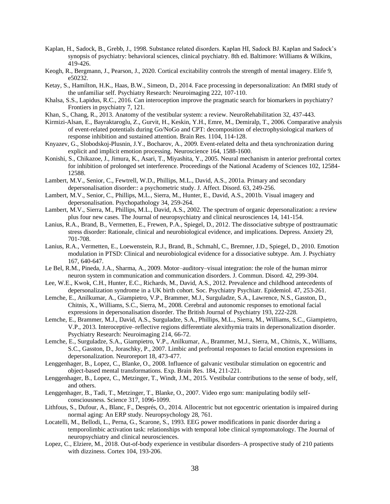- <span id="page-37-0"></span>Kaplan, H., Sadock, B., Grebb, J., 1998. Substance related disorders. Kaplan HI, Sadock BJ. Kaplan and Sadock's synopsis of psychiatry: behavioral sciences, clinical psychiatry. 8th ed. Baltimore: Williams & Wilkins, 419-426.
- <span id="page-37-16"></span>Keogh, R., Bergmann, J., Pearson, J., 2020. Cortical excitability controls the strength of mental imagery. Elife 9, e50232.
- <span id="page-37-10"></span>Ketay, S., Hamilton, H.K., Haas, B.W., Simeon, D., 2014. Face processing in depersonalization: An fMRI study of the unfamiliar self. Psychiatry Research: Neuroimaging 222, 107-110.
- <span id="page-37-12"></span>Khalsa, S.S., Lapidus, R.C., 2016. Can interoception improve the pragmatic search for biomarkers in psychiatry? Frontiers in psychiatry 7, 121.
- <span id="page-37-18"></span>Khan, S., Chang, R., 2013. Anatomy of the vestibular system: a review. NeuroRehabilitation 32, 437-443.
- <span id="page-37-22"></span>Kirmizi-Alsan, E., Bayraktaroglu, Z., Gurvit, H., Keskin, Y.H., Emre, M., Demiralp, T., 2006. Comparative analysis of event-related potentials during Go/NoGo and CPT: decomposition of electrophysiological markers of response inhibition and sustained attention. Brain Res. 1104, 114-128.
- <span id="page-37-21"></span>Knyazev, G., Slobodskoj-Plusnin, J.Y., Bocharov, A., 2009. Event-related delta and theta synchronization during explicit and implicit emotion processing. Neuroscience 164, 1588-1600.
- <span id="page-37-14"></span>Konishi, S., Chikazoe, J., Jimura, K., Asari, T., Miyashita, Y., 2005. Neural mechanism in anterior prefrontal cortex for inhibition of prolonged set interference. Proceedings of the National Academy of Sciences 102, 12584- 12588.
- <span id="page-37-2"></span>Lambert, M.V., Senior, C., Fewtrell, W.D., Phillips, M.L., David, A.S., 2001a. Primary and secondary depersonalisation disorder:: a psychometric study. J. Affect. Disord. 63, 249-256.
- <span id="page-37-15"></span>Lambert, M.V., Senior, C., Phillips, M.L., Sierra, M., Hunter, E., David, A.S., 2001b. Visual imagery and depersonalisation. Psychopathology 34, 259-264.
- <span id="page-37-3"></span>Lambert, M.V., Sierra, M., Phillips, M.L., David, A.S., 2002. The spectrum of organic depersonalization: a review plus four new cases. The Journal of neuropsychiatry and clinical neurosciences 14, 141-154.
- <span id="page-37-6"></span>Lanius, R.A., Brand, B., Vermetten, E., Frewen, P.A., Spiegel, D., 2012. The dissociative subtype of posttraumatic stress disorder: Rationale, clinical and neurobiological evidence, and implications. Depress. Anxiety 29, 701-708.
- <span id="page-37-7"></span>Lanius, R.A., Vermetten, E., Loewenstein, R.J., Brand, B., Schmahl, C., Bremner, J.D., Spiegel, D., 2010. Emotion modulation in PTSD: Clinical and neurobiological evidence for a dissociative subtype. Am. J. Psychiatry 167, 640-647.
- <span id="page-37-9"></span>Le Bel, R.M., Pineda, J.A., Sharma, A., 2009. Motor–auditory–visual integration: the role of the human mirror neuron system in communication and communication disorders. J. Commun. Disord. 42, 299-304.
- <span id="page-37-1"></span>Lee, W.E., Kwok, C.H., Hunter, E.C., Richards, M., David, A.S., 2012. Prevalence and childhood antecedents of depersonalization syndrome in a UK birth cohort. Soc. Psychiatry Psychiatr. Epidemiol. 47, 253-261.
- <span id="page-37-24"></span><span id="page-37-4"></span>Lemche, E., Anilkumar, A., Giampietro, V.P., Brammer, M.J., Surguladze, S.A., Lawrence, N.S., Gasston, D., Chitnis, X., Williams, S.C., Sierra, M., 2008. Cerebral and autonomic responses to emotional facial expressions in depersonalisation disorder. The British Journal of Psychiatry 193, 222-228.
- <span id="page-37-13"></span>Lemche, E., Brammer, M.J., David, A.S., Surguladze, S.A., Phillips, M.L., Sierra, M., Williams, S.C., Giampietro, V.P., 2013. Interoceptive–reflective regions differentiate alexithymia traits in depersonalization disorder. Psychiatry Research: Neuroimaging 214, 66-72.
- <span id="page-37-5"></span>Lemche, E., Surguladze, S.A., Giampietro, V.P., Anilkumar, A., Brammer, M.J., Sierra, M., Chitnis, X., Williams, S.C., Gasston, D., Joraschky, P., 2007. Limbic and prefrontal responses to facial emotion expressions in depersonalization. Neuroreport 18, 473-477.
- <span id="page-37-19"></span>Lenggenhager, B., Lopez, C., Blanke, O., 2008. Influence of galvanic vestibular stimulation on egocentric and object-based mental transformations. Exp. Brain Res. 184, 211-221.
- <span id="page-37-20"></span>Lenggenhager, B., Lopez, C., Metzinger, T., Windt, J.M., 2015. Vestibular contributions to the sense of body, self, and others.
- <span id="page-37-11"></span>Lenggenhager, B., Tadi, T., Metzinger, T., Blanke, O., 2007. Video ergo sum: manipulating bodily selfconsciousness. Science 317, 1096-1099.
- <span id="page-37-17"></span>Lithfous, S., Dufour, A., Blanc, F., Després, O., 2014. Allocentric but not egocentric orientation is impaired during normal aging: An ERP study. Neuropsychology 28, 761.
- <span id="page-37-8"></span>Locatelli, M., Bellodi, L., Perna, G., Scarone, S., 1993. EEG power modifications in panic disorder during a temporolimbic activation task: relationships with temporal lobe clinical symptomatology. The Journal of neuropsychiatry and clinical neurosciences.
- <span id="page-37-23"></span>Lopez, C., Elziere, M., 2018. Out-of-body experience in vestibular disorders–A prospective study of 210 patients with dizziness. Cortex 104, 193-206.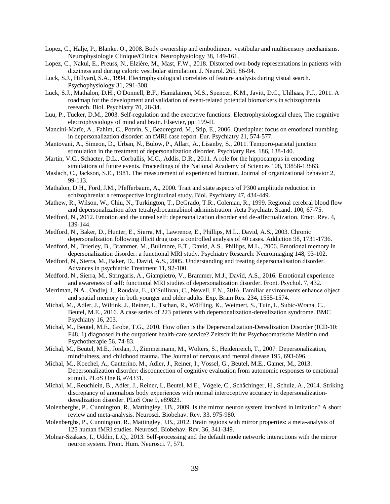- <span id="page-38-24"></span>Lopez, C., Halje, P., Blanke, O., 2008. Body ownership and embodiment: vestibular and multisensory mechanisms. Neurophysiologie Clinique/Clinical Neurophysiology 38, 149-161.
- <span id="page-38-23"></span>Lopez, C., Nakul, E., Preuss, N., Elzière, M., Mast, F.W., 2018. Distorted own-body representations in patients with dizziness and during caloric vestibular stimulation. J. Neurol. 265, 86-94.
- <span id="page-38-19"></span>Luck, S.J., Hillyard, S.A., 1994. Electrophysiological correlates of feature analysis during visual search. Psychophysiology 31, 291-308.
- <span id="page-38-20"></span>Luck, S.J., Mathalon, D.H., O'Donnell, B.F., Hämäläinen, M.S., Spencer, K.M., Javitt, D.C., Uhlhaas, P.J., 2011. A roadmap for the development and validation of event-related potential biomarkers in schizophrenia research. Biol. Psychiatry 70, 28-34.
- <span id="page-38-16"></span>Luu, P., Tucker, D.M., 2003. Self-regulation and the executive functions: Electrophysiological clues, The cognitive electrophysiology of mind and brain. Elsevier, pp. 199-II.
- <span id="page-38-7"></span>Mancini-Marïe, A., Fahim, C., Potvin, S., Beauregard, M., Stip, E., 2006. Quetiapine: focus on emotional numbing in depersonalization disorder: an fMRI case report. Eur. Psychiatry 21, 574-577.
- <span id="page-38-22"></span>Mantovani, A., Simeon, D., Urban, N., Bulow, P., Allart, A., Lisanby, S., 2011. Temporo-parietal junction stimulation in the treatment of depersonalization disorder. Psychiatry Res. 186, 138-140.
- <span id="page-38-17"></span>Martin, V.C., Schacter, D.L., Corballis, M.C., Addis, D.R., 2011. A role for the hippocampus in encoding simulations of future events. Proceedings of the National Academy of Sciences 108, 13858-13863.
- <span id="page-38-10"></span>Maslach, C., Jackson, S.E., 1981. The measurement of experienced burnout. Journal of organizational behavior 2, 99-113.
- <span id="page-38-21"></span>Mathalon, D.H., Ford, J.M., Pfefferbaum, A., 2000. Trait and state aspects of P300 amplitude reduction in schizophrenia: a retrospective longitudinal study. Biol. Psychiatry 47, 434-449.
- <span id="page-38-0"></span>Mathew, R., Wilson, W., Chiu, N., Turkington, T., DeGrado, T.R., Coleman, R., 1999. Regional cerebral blood flow and depersonalization after tetrahydrocannabinol adrninistration. Acta Psychiatr. Scand. 100, 67-75.
- <span id="page-38-14"></span>Medford, N., 2012. Emotion and the unreal self: depersonalization disorder and de-affectualization. Emot. Rev. 4, 139-144.
- <span id="page-38-1"></span>Medford, N., Baker, D., Hunter, E., Sierra, M., Lawrence, E., Phillips, M.L., David, A.S., 2003. Chronic depersonalization following illicit drug use: a controlled analysis of 40 cases. Addiction 98, 1731-1736.
- <span id="page-38-8"></span>Medford, N., Brierley, B., Brammer, M., Bullmore, E.T., David, A.S., Phillips, M.L., 2006. Emotional memory in depersonalization disorder: a functional MRI study. Psychiatry Research: Neuroimaging 148, 93-102.
- <span id="page-38-5"></span>Medford, N., Sierra, M., Baker, D., David, A.S., 2005. Understanding and treating depersonalisation disorder. Advances in psychiatric Treatment 11, 92-100.
- <span id="page-38-9"></span>Medford, N., Sierra, M., Stringaris, A., Giampietro, V., Brammer, M.J., David, A.S., 2016. Emotional experience and awareness of self: functional MRI studies of depersonalization disorder. Front. Psychol. 7, 432.
- <span id="page-38-18"></span>Merriman, N.A., Ondřej, J., Roudaia, E., O'Sullivan, C., Newell, F.N., 2016. Familiar environments enhance object and spatial memory in both younger and older adults. Exp. Brain Res. 234, 1555-1574.
- <span id="page-38-3"></span>Michal, M., Adler, J., Wiltink, J., Reiner, I., Tschan, R., Wölfling, K., Weimert, S., Tuin, I., Subic-Wrana, C., Beutel, M.E., 2016. A case series of 223 patients with depersonalization-derealization syndrome. BMC Psychiatry 16, 203.
- <span id="page-38-4"></span>Michal, M., Beutel, M.E., Grobe, T.G., 2010. How often is the Depersonalization-Derealization Disorder (ICD-10: F48. 1) diagnosed in the outpatient health-care service? Zeitschrift fur Psychosomatische Medizin und Psychotherapie 56, 74-83.
- <span id="page-38-2"></span>Michal, M., Beutel, M.E., Jordan, J., Zimmermann, M., Wolters, S., Heidenreich, T., 2007. Depersonalization, mindfulness, and childhood trauma. The Journal of nervous and mental disease 195, 693-696.
- <span id="page-38-6"></span>Michal, M., Koechel, A., Canterino, M., Adler, J., Reiner, I., Vossel, G., Beutel, M.E., Gamer, M., 2013. Depersonalization disorder: disconnection of cognitive evaluation from autonomic responses to emotional stimuli. PLoS One 8, e74331.
- <span id="page-38-15"></span>Michal, M., Reuchlein, B., Adler, J., Reiner, I., Beutel, M.E., Vögele, C., Schächinger, H., Schulz, A., 2014. Striking discrepancy of anomalous body experiences with normal interoceptive accuracy in depersonalizationderealization disorder. PLoS One 9, e89823.
- <span id="page-38-12"></span>Molenberghs, P., Cunnington, R., Mattingley, J.B., 2009. Is the mirror neuron system involved in imitation? A short review and meta-analysis. Neurosci. Biobehav. Rev. 33, 975-980.
- <span id="page-38-11"></span>Molenberghs, P., Cunnington, R., Mattingley, J.B., 2012. Brain regions with mirror properties: a meta-analysis of 125 human fMRI studies. Neurosci. Biobehav. Rev. 36, 341-349.
- <span id="page-38-13"></span>Molnar-Szakacs, I., Uddin, L.Q., 2013. Self-processing and the default mode network: interactions with the mirror neuron system. Front. Hum. Neurosci. 7, 571.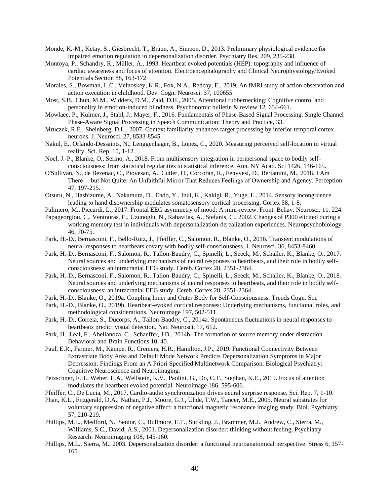- <span id="page-39-1"></span>Monde, K.-M., Ketay, S., Giesbrecht, T., Braun, A., Simeon, D., 2013. Preliminary physiological evidence for impaired emotion regulation in depersonalization disorder. Psychiatry Res. 209, 235-238.
- <span id="page-39-12"></span>Montoya, P., Schandry, R., Müller, A., 1993. Heartbeat evoked potentials (HEP): topography and influence of cardiac awareness and focus of attention. Electroencephalography and Clinical Neurophysiology/Evoked Potentials Section 88, 163-172.
- <span id="page-39-4"></span>Morales, S., Bowman, L.C., Velnoskey, K.R., Fox, N.A., Redcay, E., 2019. An fMRI study of action observation and action execution in childhood. Dev. Cogn. Neurosci. 37, 100655.
- <span id="page-39-25"></span><span id="page-39-14"></span>Most, S.B., Chun, M.M., Widders, D.M., Zald, D.H., 2005. Attentional rubbernecking: Cognitive control and personality in emotion-induced blindness. Psychonomic bulletin & review 12, 654-661.
- <span id="page-39-23"></span>Mowlaee, P., Kulmer, J., Stahl, J., Mayer, F., 2016. Fundamentals of Phase-Based Signal Processing. Single Channel Phase-Aware Signal Processing in Speech Communication: Theory and Practice, 33.
- <span id="page-39-18"></span>Mruczek, R.E., Sheinberg, D.L., 2007. Context familiarity enhances target processing by inferior temporal cortex neurons. J. Neurosci. 27, 8533-8545.
- <span id="page-39-5"></span>Nakul, E., Orlando-Dessaints, N., Lenggenhager, B., Lopez, C., 2020. Measuring perceived self-location in virtual reality. Sci. Rep. 10, 1-12.
- <span id="page-39-6"></span>Noel, J.-P., Blanke, O., Serino, A., 2018. From multisensory integration in peripersonal space to bodily selfconsciousness: from statistical regularities to statistical inference. Ann. NY Acad. Sci 1426, 146-165.
- <span id="page-39-7"></span>O'Sullivan, N., de Bezenac, C., Piovesan, A., Cutler, H., Corcoran, R., Fenyvesi, D., Bertamini, M., 2018. I Am There… but Not Quite: An Unfaithful Mirror That Reduces Feelings of Ownership and Agency. Perception 47, 197-215.
- <span id="page-39-20"></span>Otsuru, N., Hashizume, A., Nakamura, D., Endo, Y., Inui, K., Kakigi, R., Yuge, L., 2014. Sensory incongruence leading to hand disownership modulates somatosensory cortical processing. Cortex 58, 1-8.
- <span id="page-39-16"></span>Palmiero, M., Piccardi, L., 2017. Frontal EEG asymmetry of mood: A mini-review. Front. Behav. Neurosci. 11, 224.
- <span id="page-39-17"></span>Papageorgiou, C., Ventouras, E., Uzunoglu, N., Rabavilas, A., Stefanis, C., 2002. Changes of P300 elicited during a working memory test in individuals with depersonalization-derealization experiences. Neuropsychobiology 46, 70-75.
- <span id="page-39-13"></span>Park, H.-D., Bernasconi, F., Bello-Ruiz, J., Pfeiffer, C., Salomon, R., Blanke, O., 2016. Transient modulations of neural responses to heartbeats covary with bodily self-consciousness. J. Neurosci. 36, 8453-8460.
- <span id="page-39-10"></span>Park, H.-D., Bernasconi, F., Salomon, R., Tallon-Baudry, C., Spinelli, L., Seeck, M., Schaller, K., Blanke, O., 2017. Neural sources and underlying mechanisms of neural responses to heartbeats, and their role in bodily selfconsciousness: an intracranial EEG study. Cereb. Cortex 28, 2351-2364.
- <span id="page-39-24"></span>Park, H.-D., Bernasconi, F., Salomon, R., Tallon-Baudry, C., Spinelli, L., Seeck, M., Schaller, K., Blanke, O., 2018. Neural sources and underlying mechanisms of neural responses to heartbeats, and their role in bodily selfconsciousness: an intracranial EEG study. Cereb. Cortex 28, 2351-2364.
- <span id="page-39-8"></span>Park, H.-D., Blanke, O., 2019a. Coupling Inner and Outer Body for Self-Consciousness. Trends Cogn. Sci.
- <span id="page-39-9"></span>Park, H.-D., Blanke, O., 2019b. Heartbeat-evoked cortical responses: Underlying mechanisms, functional roles, and methodological considerations. Neuroimage 197, 502-511.
- <span id="page-39-11"></span>Park, H.-D., Correia, S., Ducorps, A., Tallon-Baudry, C., 2014a. Spontaneous fluctuations in neural responses to heartbeats predict visual detection. Nat. Neurosci. 17, 612.
- <span id="page-39-19"></span>Park, H., Leal, F., Abellanoza, C., Schaeffer, J.D., 2014b. The formation of source memory under distraction. Behavioral and Brain Functions 10, 40.
- <span id="page-39-3"></span>Paul, E.R., Farmer, M., Kämpe, R., Cremers, H.R., Hamilton, J.P., 2019. Functional Connectivity Between Extrastriate Body Area and Default Mode Network Predicts Depersonalization Symptoms in Major Depression: Findings From an A Priori Specified Multinetwork Comparison. Biological Psychiatry: Cognitive Neuroscience and Neuroimaging.
- <span id="page-39-21"></span>Petzschner, F.H., Weber, L.A., Wellstein, K.V., Paolini, G., Do, C.T., Stephan, K.E., 2019. Focus of attention modulates the heartbeat evoked potential. Neuroimage 186, 595-606.
- <span id="page-39-22"></span>Pfeiffer, C., De Lucia, M., 2017. Cardio-audio synchronization drives neural surprise response. Sci. Rep. 7, 1-10.
- <span id="page-39-15"></span>Phan, K.L., Fitzgerald, D.A., Nathan, P.J., Moore, G.J., Uhde, T.W., Tancer, M.E., 2005. Neural substrates for voluntary suppression of negative affect: a functional magnetic resonance imaging study. Biol. Psychiatry 57, 210-219.
- <span id="page-39-2"></span>Phillips, M.L., Medford, N., Senior, C., Bullmore, E.T., Suckling, J., Brammer, M.J., Andrew, C., Sierra, M., Williams, S.C., David, A.S., 2001. Depersonalization disorder: thinking without feeling. Psychiatry Research: Neuroimaging 108, 145-160.
- <span id="page-39-0"></span>Phillips, M.L., Sierra, M., 2003. Depersonalization disorder: a functional neuroanatomical perspective. Stress 6, 157- 165.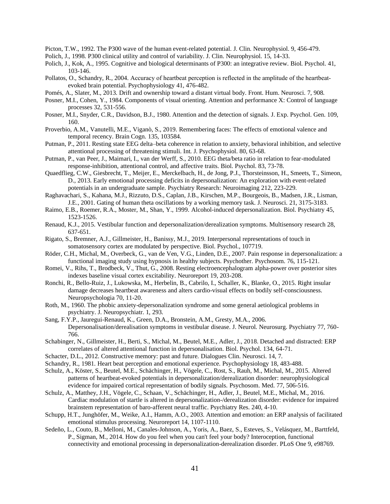<span id="page-40-24"></span>Picton, T.W., 1992. The P300 wave of the human event-related potential. J. Clin. Neurophysiol. 9, 456-479.

- <span id="page-40-29"></span><span id="page-40-23"></span>Polich, J., 1998. P300 clinical utility and control of variability. J. Clin. Neurophysiol. 15, 14-33.
- <span id="page-40-17"></span>Polich, J., Kok, A., 1995. Cognitive and biological determinants of P300: an integrative review. Biol. Psychol. 41, 103-146.
- <span id="page-40-6"></span>Pollatos, O., Schandry, R., 2004. Accuracy of heartbeat perception is reflected in the amplitude of the heartbeatevoked brain potential. Psychophysiology 41, 476-482.
- <span id="page-40-27"></span><span id="page-40-3"></span>Pomés, A., Slater, M., 2013. Drift and ownership toward a distant virtual body. Front. Hum. Neurosci. 7, 908.
- <span id="page-40-21"></span>Posner, M.I., Cohen, Y., 1984. Components of visual orienting. Attention and performance X: Control of language processes 32, 531-556.
- <span id="page-40-22"></span>Posner, M.I., Snyder, C.R., Davidson, B.J., 1980. Attention and the detection of signals. J. Exp. Psychol. Gen. 109, 160.
- <span id="page-40-15"></span>Proverbio, A.M., Vanutelli, M.E., Viganò, S., 2019. Remembering faces: The effects of emotional valence and temporal recency. Brain Cogn. 135, 103584.
- <span id="page-40-11"></span>Putman, P., 2011. Resting state EEG delta–beta coherence in relation to anxiety, behavioral inhibition, and selective attentional processing of threatening stimuli. Int. J. Psychophysiol. 80, 63-68.
- <span id="page-40-12"></span>Putman, P., van Peer, J., Maimari, I., van der Werff, S., 2010. EEG theta/beta ratio in relation to fear-modulated response-inhibition, attentional control, and affective traits. Biol. Psychol. 83, 73-78.
- <span id="page-40-10"></span>Quaedflieg, C.W., Giesbrecht, T., Meijer, E., Merckelbach, H., de Jong, P.J., Thorsteinsson, H., Smeets, T., Simeon, D., 2013. Early emotional processing deficits in depersonalization: An exploration with event-related potentials in an undergraduate sample. Psychiatry Research: Neuroimaging 212, 223-229.
- <span id="page-40-25"></span>Raghavachari, S., Kahana, M.J., Rizzuto, D.S., Caplan, J.B., Kirschen, M.P., Bourgeois, B., Madsen, J.R., Lisman, J.E., 2001. Gating of human theta oscillations by a working memory task. J. Neurosci. 21, 3175-3183.
- <span id="page-40-2"></span>Raimo, E.B., Roemer, R.A., Moster, M., Shan, Y., 1999. Alcohol-induced depersonalization. Biol. Psychiatry 45, 1523-1526.
- <span id="page-40-30"></span><span id="page-40-18"></span>Renaud, K.J., 2015. Vestibular function and depersonalization/derealization symptoms. Multisensory research 28, 637-651.
- <span id="page-40-26"></span>Rigato, S., Bremner, A.J., Gillmeister, H., Banissy, M.J., 2019. Interpersonal representations of touch in somatosensory cortex are modulated by perspective. Biol. Psychol., 107719.
- <span id="page-40-28"></span><span id="page-40-0"></span>Röder, C.H., Michal, M., Overbeck, G., van de Ven, V.G., Linden, D.E., 2007. Pain response in depersonalization: a functional imaging study using hypnosis in healthy subjects. Psychother. Psychosom. 76, 115-121.
- <span id="page-40-16"></span>Romei, V., Rihs, T., Brodbeck, V., Thut, G., 2008. Resting electroencephalogram alpha-power over posterior sites indexes baseline visual cortex excitability. Neuroreport 19, 203-208.
- <span id="page-40-7"></span>Ronchi, R., Bello-Ruiz, J., Lukowska, M., Herbelin, B., Cabrilo, I., Schaller, K., Blanke, O., 2015. Right insular damage decreases heartbeat awareness and alters cardio-visual effects on bodily self-consciousness. Neuropsychologia 70, 11-20.
- <span id="page-40-1"></span>Roth, M., 1960. The phobic anxiety-depersonalization syndrome and some general aetiological problems in psychiatry. J. Neuropsychiatr. 1, 293.
- <span id="page-40-19"></span>Sang, F.Y.P., Jauregui-Renaud, K., Green, D.A., Bronstein, A.M., Gresty, M.A., 2006. Depersonalisation/derealisation symptoms in vestibular disease. J. Neurol. Neurosurg. Psychiatry 77, 760- 766.
- <span id="page-40-20"></span>Schabinger, N., Gillmeister, H., Berti, S., Michal, M., Beutel, M.E., Adler, J., 2018. Detached and distracted: ERP correlates of altered attentional function in depersonalisation. Biol. Psychol. 134, 64-71.
- <span id="page-40-14"></span>Schacter, D.L., 2012. Constructive memory: past and future. Dialogues Clin. Neurosci. 14, 7.
- <span id="page-40-5"></span>Schandry, R., 1981. Heart beat perception and emotional experience. Psychophysiology 18, 483-488.
- <span id="page-40-8"></span>Schulz, A., Köster, S., Beutel, M.E., Schächinger, H., Vögele, C., Rost, S., Rauh, M., Michal, M., 2015. Altered patterns of heartbeat-evoked potentials in depersonalization/derealization disorder: neurophysiological evidence for impaired cortical representation of bodily signals. Psychosom. Med. 77, 506-516.
- <span id="page-40-9"></span>Schulz, A., Matthey, J.H., Vögele, C., Schaan, V., Schächinger, H., Adler, J., Beutel, M.E., Michal, M., 2016. Cardiac modulation of startle is altered in depersonalization-/derealization disorder: evidence for impaired brainstem representation of baro-afferent neural traffic. Psychiatry Res. 240, 4-10.
- <span id="page-40-13"></span>Schupp, H.T., Junghöfer, M., Weike, A.I., Hamm, A.O., 2003. Attention and emotion: an ERP analysis of facilitated emotional stimulus processing. Neuroreport 14, 1107-1110.
- <span id="page-40-4"></span>Sedeño, L., Couto, B., Melloni, M., Canales-Johnson, A., Yoris, A., Baez, S., Esteves, S., Velásquez, M., Barttfeld, P., Sigman, M., 2014. How do you feel when you can't feel your body? Interoception, functional connectivity and emotional processing in depersonalization-derealization disorder. PLoS One 9, e98769.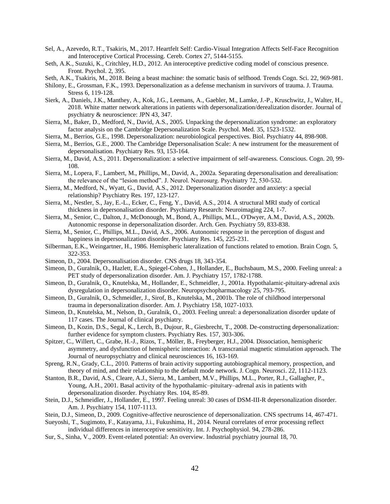- <span id="page-41-16"></span>Sel, A., Azevedo, R.T., Tsakiris, M., 2017. Heartfelt Self: Cardio-Visual Integration Affects Self-Face Recognition and Interoceptive Cortical Processing. Cereb. Cortex 27, 5144-5155.
- <span id="page-41-23"></span>Seth, A.K., Suzuki, K., Critchley, H.D., 2012. An interoceptive predictive coding model of conscious presence. Front. Psychol. 2, 395.
- <span id="page-41-24"></span>Seth, A.K., Tsakiris, M., 2018. Being a beast machine: the somatic basis of selfhood. Trends Cogn. Sci. 22, 969-981.
- <span id="page-41-0"></span>Shilony, E., Grossman, F.K., 1993. Depersonalization as a defense mechanism in survivors of trauma. J. Trauma. Stress 6, 119-128.
- <span id="page-41-14"></span>Sierk, A., Daniels, J.K., Manthey, A., Kok, J.G., Leemans, A., Gaebler, M., Lamke, J.-P., Kruschwitz, J., Walter, H., 2018. White matter network alterations in patients with depersonalization/derealization disorder. Journal of psychiatry & neuroscience: JPN 43, 347.
- <span id="page-41-11"></span>Sierra, M., Baker, D., Medford, N., David, A.S., 2005. Unpacking the depersonalization syndrome: an exploratory factor analysis on the Cambridge Depersonalization Scale. Psychol. Med. 35, 1523-1532.
- <span id="page-41-1"></span>Sierra, M., Berrios, G.E., 1998. Depersonalization: neurobiological perspectives. Biol. Psychiatry 44, 898-908.
- <span id="page-41-12"></span>Sierra, M., Berrios, G.E., 2000. The Cambridge Depersonalisation Scale: A new instrument for the measurement of depersonalisation. Psychiatry Res. 93, 153-164.
- <span id="page-41-5"></span>Sierra, M., David, A.S., 2011. Depersonalization: a selective impairment of self-awareness. Conscious. Cogn. 20, 99- 108.
- <span id="page-41-21"></span>Sierra, M., Lopera, F., Lambert, M., Phillips, M., David, A., 2002a. Separating depersonalisation and derealisation: the relevance of the "lesion method". J. Neurol. Neurosurg. Psychiatry 72, 530-532.
- <span id="page-41-13"></span>Sierra, M., Medford, N., Wyatt, G., David, A.S., 2012. Depersonalization disorder and anxiety: a special relationship? Psychiatry Res. 197, 123-127.
- <span id="page-41-15"></span>Sierra, M., Nestler, S., Jay, E.-L., Ecker, C., Feng, Y., David, A.S., 2014. A structural MRI study of cortical thickness in depersonalisation disorder. Psychiatry Research: Neuroimaging 224, 1-7.
- <span id="page-41-17"></span>Sierra, M., Senior, C., Dalton, J., McDonough, M., Bond, A., Phillips, M.L., O'Dwyer, A.M., David, A.S., 2002b. Autonomic response in depersonalization disorder. Arch. Gen. Psychiatry 59, 833-838.
- <span id="page-41-8"></span>Sierra, M., Senior, C., Phillips, M.L., David, A.S., 2006. Autonomic response in the perception of disgust and happiness in depersonalization disorder. Psychiatry Res. 145, 225-231.
- <span id="page-41-27"></span>Silberman, E.K., Weingartner, H., 1986. Hemispheric lateralization of functions related to emotion. Brain Cogn. 5, 322-353.
- <span id="page-41-4"></span>Simeon, D., 2004. Depersonalisation disorder. CNS drugs 18, 343-354.
- <span id="page-41-9"></span>Simeon, D., Guralnik, O., Hazlett, E.A., Spiegel-Cohen, J., Hollander, E., Buchsbaum, M.S., 2000. Feeling unreal: a PET study of depersonalization disorder. Am. J. Psychiatry 157, 1782-1788.
- <span id="page-41-18"></span>Simeon, D., Guralnik, O., Knutelska, M., Hollander, E., Schmeidler, J., 2001a. Hypothalamic-pituitary-adrenal axis dysregulation in depersonalization disorder. Neuropsychopharmacology 25, 793-795.
- <span id="page-41-3"></span>Simeon, D., Guralnik, O., Schmeidler, J., Sirof, B., Knutelska, M., 2001b. The role of childhood interpersonal trauma in depersonalization disorder. Am. J. Psychiatry 158, 1027-1033.
- <span id="page-41-7"></span>Simeon, D., Knutelska, M., Nelson, D., Guralnik, O., 2003. Feeling unreal: a depersonalization disorder update of 117 cases. The Journal of clinical psychiatry.
- <span id="page-41-10"></span>Simeon, D., Kozin, D.S., Segal, K., Lerch, B., Dujour, R., Giesbrecht, T., 2008. De-constructing depersonalization: further evidence for symptom clusters. Psychiatry Res. 157, 303-306.
- <span id="page-41-26"></span>Spitzer, C., Willert, C., Grabe, H.-J., Rizos, T., Möller, B., Freyberger, H.J., 2004. Dissociation, hemispheric asymmetry, and dysfunction of hemispheric interaction: A transcranial magnetic stimulation approach. The Journal of neuropsychiatry and clinical neurosciences 16, 163-169.
- <span id="page-41-20"></span>Spreng, R.N., Grady, C.L., 2010. Patterns of brain activity supporting autobiographical memory, prospection, and theory of mind, and their relationship to the default mode network. J. Cogn. Neurosci. 22, 1112-1123.
- <span id="page-41-19"></span>Stanton, B.R., David, A.S., Cleare, A.J., Sierra, M., Lambert, M.V., Phillips, M.L., Porter, R.J., Gallagher, P., Young, A.H., 2001. Basal activity of the hypothalamic–pituitary–adrenal axis in patients with depersonalization disorder. Psychiatry Res. 104, 85-89.
- <span id="page-41-6"></span>Stein, D.J., Schmeidler, J., Hollander, E., 1997. Feeling unreal: 30 cases of DSM-III-R depersonalization disorder. Am. J. Psychiatry 154, 1107-1113.
- <span id="page-41-2"></span>Stein, D.J., Simeon, D., 2009. Cognitive-affective neuroscience of depersonalization. CNS spectrums 14, 467-471.
- <span id="page-41-25"></span>Sueyoshi, T., Sugimoto, F., Katayama, J.i., Fukushima, H., 2014. Neural correlates of error processing reflect individual differences in interoceptive sensitivity. Int. J. Psychophysiol. 94, 278-286.
- <span id="page-41-22"></span>Sur, S., Sinha, V., 2009. Event-related potential: An overview. Industrial psychiatry journal 18, 70.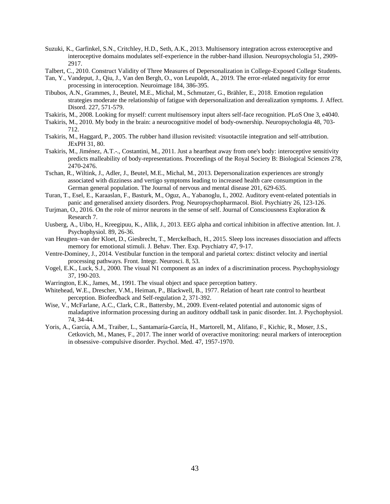- <span id="page-42-8"></span>Suzuki, K., Garfinkel, S.N., Critchley, H.D., Seth, A.K., 2013. Multisensory integration across exteroceptive and interoceptive domains modulates self-experience in the rubber-hand illusion. Neuropsychologia 51, 2909- 2917.
- <span id="page-42-2"></span>Talbert, C., 2010. Construct Validity of Three Measures of Depersonalization in College-Exposed College Students.
- <span id="page-42-17"></span>Tan, Y., Vandeput, J., Qiu, J., Van den Bergh, O., von Leupoldt, A., 2019. The error-related negativity for error processing in interoception. Neuroimage 184, 386-395.
- <span id="page-42-0"></span>Tibubos, A.N., Grammes, J., Beutel, M.E., Michal, M., Schmutzer, G., Brähler, E., 2018. Emotion regulation strategies moderate the relationship of fatigue with depersonalization and derealization symptoms. J. Affect. Disord. 227, 571-579.
- <span id="page-42-9"></span>Tsakiris, M., 2008. Looking for myself: current multisensory input alters self-face recognition. PLoS One 3, e4040.
- <span id="page-42-5"></span>Tsakiris, M., 2010. My body in the brain: a neurocognitive model of body-ownership. Neuropsychologia 48, 703- 712.
- <span id="page-42-4"></span>Tsakiris, M., Haggard, P., 2005. The rubber hand illusion revisited: visuotactile integration and self-attribution. JExPH 31, 80.
- <span id="page-42-6"></span>Tsakiris, M., Jiménez, A.T.-., Costantini, M., 2011. Just a heartbeat away from one's body: interoceptive sensitivity predicts malleability of body-representations. Proceedings of the Royal Society B: Biological Sciences 278, 2470-2476.
- <span id="page-42-15"></span>Tschan, R., Wiltink, J., Adler, J., Beutel, M.E., Michal, M., 2013. Depersonalization experiences are strongly associated with dizziness and vertigo symptoms leading to increased health care consumption in the German general population. The Journal of nervous and mental disease 201, 629-635.
- <span id="page-42-19"></span><span id="page-42-16"></span>Turan, T., Esel, E., Karaaslan, F., Basturk, M., Oguz, A., Yabanoglu, I., 2002. Auditory event-related potentials in panic and generalised anxiety disorders. Prog. Neuropsychopharmacol. Biol. Psychiatry 26, 123-126.
- <span id="page-42-3"></span>Turjman, O., 2016. On the role of mirror neurons in the sense of self. Journal of Consciousness Exploration & Research 7.
- <span id="page-42-10"></span>Uusberg, A., Uibo, H., Kreegipuu, K., Allik, J., 2013. EEG alpha and cortical inhibition in affective attention. Int. J. Psychophysiol. 89, 26-36.
- <span id="page-42-1"></span>van Heugten–van der Kloet, D., Giesbrecht, T., Merckelbach, H., 2015. Sleep loss increases dissociation and affects memory for emotional stimuli. J. Behav. Ther. Exp. Psychiatry 47, 9-17.
- <span id="page-42-14"></span>Ventre-Dominey, J., 2014. Vestibular function in the temporal and parietal cortex: distinct velocity and inertial processing pathways. Front. Integr. Neurosci. 8, 53.
- <span id="page-42-13"></span>Vogel, E.K., Luck, S.J., 2000. The visual N1 component as an index of a discrimination process. Psychophysiology 37, 190-203.
- <span id="page-42-11"></span>Warrington, E.K., James, M., 1991. The visual object and space perception battery.
- <span id="page-42-7"></span>Whitehead, W.E., Drescher, V.M., Heiman, P., Blackwell, B., 1977. Relation of heart rate control to heartbeat perception. Biofeedback and Self-regulation 2, 371-392.
- <span id="page-42-12"></span>Wise, V., McFarlane, A.C., Clark, C.R., Battersby, M., 2009. Event-related potential and autonomic signs of maladaptive information processing during an auditory oddball task in panic disorder. Int. J. Psychophysiol. 74, 34-44.
- <span id="page-42-18"></span>Yoris, A., García, A.M., Traiber, L., Santamaría-García, H., Martorell, M., Alifano, F., Kichic, R., Moser, J.S., Cetkovich, M., Manes, F., 2017. The inner world of overactive monitoring: neural markers of interoception in obsessive–compulsive disorder. Psychol. Med. 47, 1957-1970.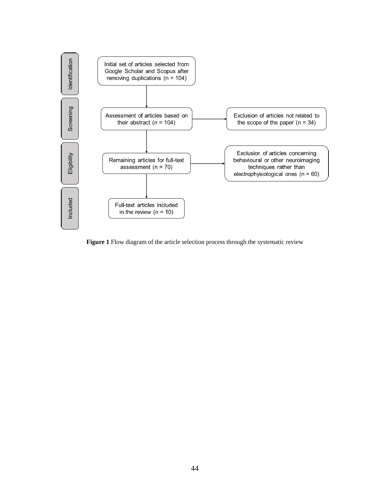

**Figure 1** Flow diagram of the article selection process through the systematic review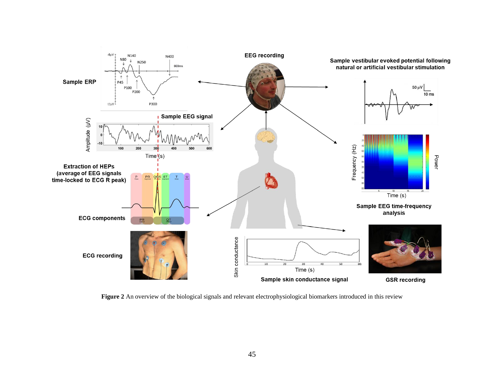

**Figure 2** An overview of the biological signals and relevant electrophysiological biomarkers introduced in this review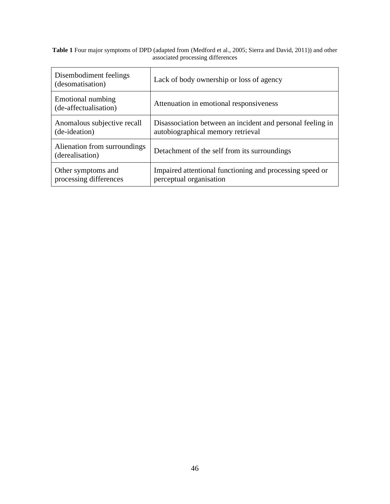#### **Table 1** Four major symptoms of DPD (adapted from [\(Medford et al., 2005;](#page-38-5) [Sierra and David, 2011\)](#page-41-5)) and other associated processing differences

| Disembodiment feelings<br>(desomatisation)      | Lack of body ownership or loss of agency                                                        |
|-------------------------------------------------|-------------------------------------------------------------------------------------------------|
| Emotional numbing<br>(de-affectualisation)      | Attenuation in emotional responsiveness                                                         |
| Anomalous subjective recall<br>(de-ideation)    | Disassociation between an incident and personal feeling in<br>autobiographical memory retrieval |
| Alienation from surroundings<br>(derealisation) | Detachment of the self from its surroundings                                                    |
| Other symptoms and<br>processing differences    | Impaired attentional functioning and processing speed or<br>perceptual organisation             |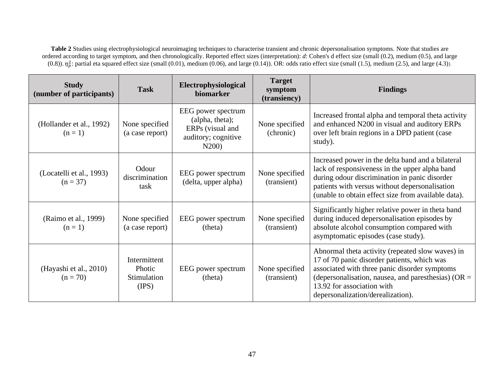**Table 2** Studies using electrophysiological neuroimaging techniques to characterise transient and chronic depersonalisation symptoms. Note that studies are ordered according to target symptom, and then chronologically. Reported effect sizes (interpretation): *d*: Cohen's d effect size (small (0.2), medium (0.5), and large (0.8)).  $\eta_p^2$ : partial eta squared effect size (small (0.01), medium (0.06), and large (0.14)). OR: odds ratio effect size (small (1.5), medium (2.5), and large (4.3)).

| <b>Study</b><br>(number of participants) | <b>Task</b>                                           | Electrophysiological<br>biomarker                                                         | <b>Target</b><br>symptom<br>(transiency) | <b>Findings</b>                                                                                                                                                                                                                                                               |
|------------------------------------------|-------------------------------------------------------|-------------------------------------------------------------------------------------------|------------------------------------------|-------------------------------------------------------------------------------------------------------------------------------------------------------------------------------------------------------------------------------------------------------------------------------|
| (Hollander et al., 1992)<br>$(n=1)$      | None specified<br>(a case report)                     | EEG power spectrum<br>(alpha, theta);<br>ERPs (visual and<br>auditory; cognitive<br>N200) | None specified<br>(chronic)              | Increased frontal alpha and temporal theta activity<br>and enhanced N200 in visual and auditory ERPs<br>over left brain regions in a DPD patient (case<br>study).                                                                                                             |
| (Locatelli et al., 1993)<br>$(n = 37)$   | Odour<br>discrimination<br>task                       | EEG power spectrum<br>(delta, upper alpha)                                                | None specified<br>(transient)            | Increased power in the delta band and a bilateral<br>lack of responsiveness in the upper alpha band<br>during odour discrimination in panic disorder<br>patients with versus without depersonalisation<br>(unable to obtain effect size from available data).                 |
| (Raimo et al., 1999)<br>$(n=1)$          | None specified<br>(a case report)                     | EEG power spectrum<br>(theta)                                                             | None specified<br>(transient)            | Significantly higher relative power in theta band<br>during induced depersonalisation episodes by<br>absolute alcohol consumption compared with<br>asymptomatic episodes (case study).                                                                                        |
| (Hayashi et al., 2010)<br>$(n = 70)$     | Intermittent<br><b>Photic</b><br>Stimulation<br>(IPS) | EEG power spectrum<br>(theta)                                                             | None specified<br>(transient)            | Abnormal theta activity (repeated slow waves) in<br>17 of 70 panic disorder patients, which was<br>associated with three panic disorder symptoms<br>(depersonalisation, nausea, and paresthesias) ( $OR =$<br>13.92 for association with<br>depersonalization/derealization). |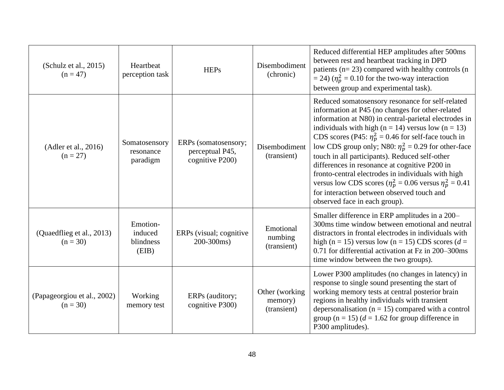| (Schulz et al., 2015)<br>$(n = 47)$       | Heartbeat<br>perception task              | <b>HEPs</b>                                                | Disembodiment<br>(chronic)                | Reduced differential HEP amplitudes after 500ms<br>between rest and heartbeat tracking in DPD<br>patients ( $n=23$ ) compared with healthy controls ( $n=$<br>$=$ 24) ( $\eta_p^2$ = 0.10 for the two-way interaction<br>between group and experimental task).                                                                                                                                                                                                                                                                                                                                                                                                      |
|-------------------------------------------|-------------------------------------------|------------------------------------------------------------|-------------------------------------------|---------------------------------------------------------------------------------------------------------------------------------------------------------------------------------------------------------------------------------------------------------------------------------------------------------------------------------------------------------------------------------------------------------------------------------------------------------------------------------------------------------------------------------------------------------------------------------------------------------------------------------------------------------------------|
| (Adler et al., 2016)<br>$(n = 27)$        | Somatosensory<br>resonance<br>paradigm    | ERPs (somatosensory;<br>perceptual P45,<br>cognitive P200) | Disembodiment<br>(transient)              | Reduced somatosensory resonance for self-related<br>information at P45 (no changes for other-related<br>information at N80) in central-parietal electrodes in<br>individuals with high ( $n = 14$ ) versus low ( $n = 13$ )<br>CDS scores (P45: $\eta_p^2 = 0.46$ for self-face touch in<br>low CDS group only; N80: $\eta_p^2 = 0.29$ for other-face<br>touch in all participants). Reduced self-other<br>differences in resonance at cognitive P200 in<br>fronto-central electrodes in individuals with high<br>versus low CDS scores ( $\eta_p^2 = 0.06$ versus $\eta_p^2 = 0.41$<br>for interaction between observed touch and<br>observed face in each group). |
| (Quaedflieg et al., 2013)<br>$(n = 30)$   | Emotion-<br>induced<br>blindness<br>(EIB) | ERPs (visual; cognitive<br>200-300ms)                      | Emotional<br>numbing<br>(transient)       | Smaller difference in ERP amplitudes in a 200–<br>300ms time window between emotional and neutral<br>distractors in frontal electrodes in individuals with<br>high (n = 15) versus low (n = 15) CDS scores (d =<br>0.71 for differential activation at Fz in 200–300ms<br>time window between the two groups).                                                                                                                                                                                                                                                                                                                                                      |
| (Papageorgiou et al., 2002)<br>$(n = 30)$ | Working<br>memory test                    | ERPs (auditory;<br>cognitive P300)                         | Other (working)<br>memory)<br>(transient) | Lower P300 amplitudes (no changes in latency) in<br>response to single sound presenting the start of<br>working memory tests at central posterior brain<br>regions in healthy individuals with transient<br>depersonalisation ( $n = 15$ ) compared with a control<br>group (n = 15) ( $d = 1.62$ for group difference in<br>P300 amplitudes).                                                                                                                                                                                                                                                                                                                      |